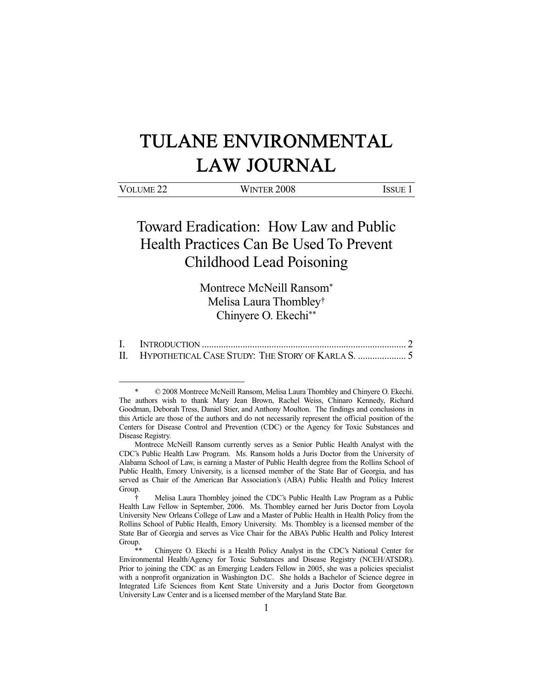# TULANE ENVIRONMENTAL LAW JOURNAL

# Toward Eradication: How Law and Public Health Practices Can Be Used To Prevent Childhood Lead Poisoning

Montrece McNeill Ransom\* Melisa Laura Thombley† Chinyere O. Ekechi\*\*

I. INTRODUCTION ..................................................................................... 2 II. HYPOTHETICAL CASE STUDY: THE STORY OF KARLA S. .................... 5

 $\degree$  2008 Montrece McNeill Ransom, Melisa Laura Thombley and Chinyere O. Ekechi. The authors wish to thank Mary Jean Brown, Rachel Weiss, Chinaro Kennedy, Richard Goodman, Deborah Tress, Daniel Stier, and Anthony Moulton. The findings and conclusions in this Article are those of the authors and do not necessarily represent the official position of the Centers for Disease Control and Prevention (CDC) or the Agency for Toxic Substances and Disease Registry.

Montrece McNeill Ransom currently serves as a Senior Public Health Analyst with the CDC's Public Health Law Program. Ms. Ransom holds a Juris Doctor from the University of Alabama School of Law, is earning a Master of Public Health degree from the Rollins School of Public Health, Emory University, is a licensed member of the State Bar of Georgia, and has served as Chair of the American Bar Association's (ABA) Public Health and Policy Interest Group.

 <sup>†</sup> Melisa Laura Thombley joined the CDC's Public Health Law Program as a Public Health Law Fellow in September, 2006. Ms. Thombley earned her Juris Doctor from Loyola University New Orleans College of Law and a Master of Public Health in Health Policy from the Rollins School of Public Health, Emory University. Ms. Thombley is a licensed member of the State Bar of Georgia and serves as Vice Chair for the ABA's Public Health and Policy Interest Group.

Chinyere O. Ekechi is a Health Policy Analyst in the CDC's National Center for Environmental Health/Agency for Toxic Substances and Disease Registry (NCEH/ATSDR). Prior to joining the CDC as an Emerging Leaders Fellow in 2005, she was a policies specialist with a nonprofit organization in Washington D.C. She holds a Bachelor of Science degree in Integrated Life Sciences from Kent State University and a Juris Doctor from Georgetown University Law Center and is a licensed member of the Maryland State Bar.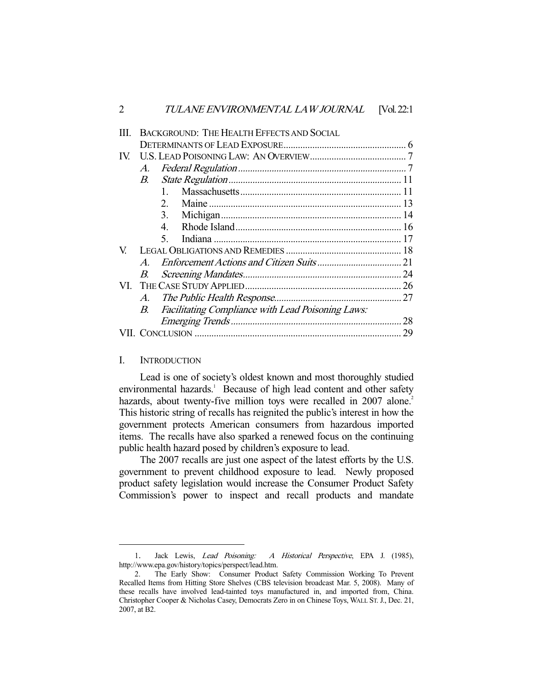|     |               | BACKGROUND: THE HEALTH EFFECTS AND SOCIAL                |    |  |
|-----|---------------|----------------------------------------------------------|----|--|
|     |               |                                                          |    |  |
| IV. |               |                                                          |    |  |
|     | A.            |                                                          |    |  |
|     | $B_{\cdot}$   |                                                          |    |  |
|     |               |                                                          |    |  |
|     |               | $2^{\circ}$                                              |    |  |
|     |               | 3.                                                       |    |  |
|     |               | $\mathbf{4}_{\cdot}$                                     |    |  |
|     |               | 5.                                                       |    |  |
| V   |               |                                                          |    |  |
|     | $\mathcal{A}$ |                                                          |    |  |
|     | В.            |                                                          |    |  |
| VI  |               |                                                          |    |  |
|     | A.            |                                                          |    |  |
|     | $B_{\cdot}$   | <b>Facilitating Compliance with Lead Poisoning Laws:</b> |    |  |
|     |               |                                                          | 28 |  |
|     |               |                                                          | 29 |  |
|     |               |                                                          |    |  |

#### I. INTRODUCTION

-

 Lead is one of society's oldest known and most thoroughly studied environmental hazards.<sup>1</sup> Because of high lead content and other safety hazards, about twenty-five million toys were recalled in 2007 alone.<sup>2</sup> This historic string of recalls has reignited the public's interest in how the government protects American consumers from hazardous imported items. The recalls have also sparked a renewed focus on the continuing public health hazard posed by children's exposure to lead.

 The 2007 recalls are just one aspect of the latest efforts by the U.S. government to prevent childhood exposure to lead. Newly proposed product safety legislation would increase the Consumer Product Safety Commission's power to inspect and recall products and mandate

<sup>1.</sup> Jack Lewis, Lead Poisoning: A Historical Perspective, EPA J. (1985), http://www.epa.gov/history/topics/perspect/lead.htm.

 <sup>2.</sup> The Early Show: Consumer Product Safety Commission Working To Prevent Recalled Items from Hitting Store Shelves (CBS television broadcast Mar. 5, 2008). Many of these recalls have involved lead-tainted toys manufactured in, and imported from, China. Christopher Cooper & Nicholas Casey, Democrats Zero in on Chinese Toys, WALL ST. J., Dec. 21, 2007, at B2.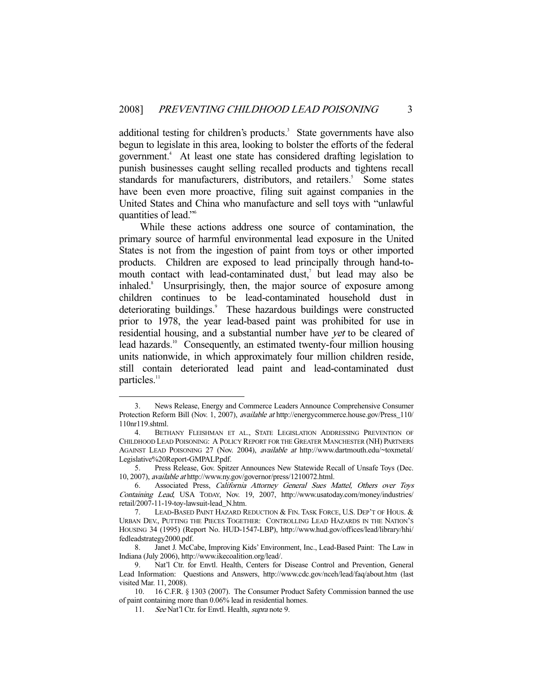additional testing for children's products.<sup>3</sup> State governments have also begun to legislate in this area, looking to bolster the efforts of the federal government.4 At least one state has considered drafting legislation to punish businesses caught selling recalled products and tightens recall standards for manufacturers, distributors, and retailers.<sup>5</sup> Some states have been even more proactive, filing suit against companies in the United States and China who manufacture and sell toys with "unlawful quantities of lead."6

 While these actions address one source of contamination, the primary source of harmful environmental lead exposure in the United States is not from the ingestion of paint from toys or other imported products. Children are exposed to lead principally through hand-tomouth contact with lead-contaminated dust, $\theta$  but lead may also be inhaled.<sup>8</sup> Unsurprisingly, then, the major source of exposure among children continues to be lead-contaminated household dust in deteriorating buildings.<sup>9</sup> These hazardous buildings were constructed prior to 1978, the year lead-based paint was prohibited for use in residential housing, and a substantial number have yet to be cleared of lead hazards.<sup>10</sup> Consequently, an estimated twenty-four million housing units nationwide, in which approximately four million children reside, still contain deteriorated lead paint and lead-contaminated dust particles.<sup>11</sup>

 <sup>3.</sup> News Release, Energy and Commerce Leaders Announce Comprehensive Consumer Protection Reform Bill (Nov. 1, 2007), available at http://energycommerce.house.gov/Press\_110/ 110nr119.shtml.

 <sup>4.</sup> BETHANY FLEISHMAN ET AL., STATE LEGISLATION ADDRESSING PREVENTION OF CHILDHOOD LEAD POISONING: A POLICY REPORT FOR THE GREATER MANCHESTER (NH) PARTNERS AGAINST LEAD POISONING 27 (Nov. 2004), available at http://www.dartmouth.edu/~toxmetal/ Legislative%20Report-GMPALP.pdf.

 <sup>5.</sup> Press Release, Gov. Spitzer Announces New Statewide Recall of Unsafe Toys (Dec. 10, 2007), available at http://www.ny.gov/governor/press/1210072.html.

 <sup>6.</sup> Associated Press, California Attorney General Sues Mattel, Others over Toys Containing Lead, USA TODAY, Nov. 19, 2007, http://www.usatoday.com/money/industries/ retail/2007-11-19-toy-lawsuit-lead\_N.htm.

 <sup>7.</sup> LEAD-BASED PAINT HAZARD REDUCTION & FIN. TASK FORCE, U.S. DEP'T OF HOUS. & URBAN DEV., PUTTING THE PIECES TOGETHER: CONTROLLING LEAD HAZARDS IN THE NATION'S HOUSING 34 (1995) (Report No. HUD-1547-LBP), http://www.hud.gov/offices/lead/library/hhi/ fedleadstrategy2000.pdf.

 <sup>8.</sup> Janet J. McCabe, Improving Kids' Environment, Inc., Lead-Based Paint: The Law in Indiana (July 2006), http://www.ikecoalition.org/lead/.

 <sup>9.</sup> Nat'l Ctr. for Envtl. Health, Centers for Disease Control and Prevention, General Lead Information: Questions and Answers, http://www.cdc.gov/nceh/lead/faq/about.htm (last visited Mar. 11, 2008).

 <sup>10. 16</sup> C.F.R. § 1303 (2007). The Consumer Product Safety Commission banned the use of paint containing more than 0.06% lead in residential homes.

<sup>11.</sup> See Nat'l Ctr. for Envtl. Health, *supra* note 9.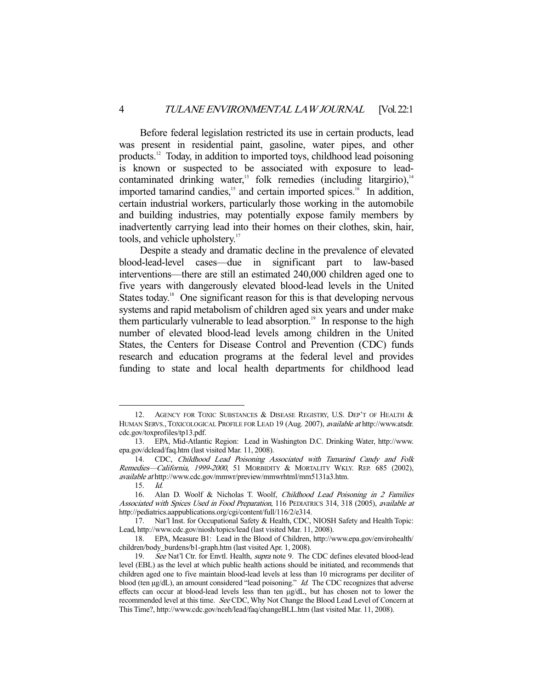Before federal legislation restricted its use in certain products, lead was present in residential paint, gasoline, water pipes, and other products.<sup>12</sup> Today, in addition to imported toys, childhood lead poisoning is known or suspected to be associated with exposure to leadcontaminated drinking water,<sup>13</sup> folk remedies (including litargirio), $14$ imported tamarind candies, $15$  and certain imported spices.<sup>16</sup> In addition, certain industrial workers, particularly those working in the automobile and building industries, may potentially expose family members by inadvertently carrying lead into their homes on their clothes, skin, hair, tools, and vehicle upholstery.<sup>17</sup>

 Despite a steady and dramatic decline in the prevalence of elevated blood-lead-level cases—due in significant part to law-based interventions—there are still an estimated 240,000 children aged one to five years with dangerously elevated blood-lead levels in the United States today.<sup>18</sup> One significant reason for this is that developing nervous systems and rapid metabolism of children aged six years and under make them particularly vulnerable to lead absorption.<sup>19</sup> In response to the high number of elevated blood-lead levels among children in the United States, the Centers for Disease Control and Prevention (CDC) funds research and education programs at the federal level and provides funding to state and local health departments for childhood lead

<sup>12.</sup> AGENCY FOR TOXIC SUBSTANCES & DISEASE REGISTRY, U.S. DEP'T OF HEALTH & HUMAN SERVS., TOXICOLOGICAL PROFILE FOR LEAD 19 (Aug. 2007), *available at* http://www.atsdr. cdc.gov/toxprofiles/tp13.pdf.

 <sup>13.</sup> EPA, Mid-Atlantic Region: Lead in Washington D.C. Drinking Water, http://www. epa.gov/dclead/faq.htm (last visited Mar. 11, 2008).

 <sup>14.</sup> CDC, Childhood Lead Poisoning Associated with Tamarind Candy and Folk Remedies-California, 1999-2000, 51 MORBIDITY & MORTALITY WKLY. REP. 685 (2002), available at http://www.cdc.gov/mmwr/preview/mmwrhtml/mm5131a3.htm.

 <sup>15.</sup> Id.

 <sup>16.</sup> Alan D. Woolf & Nicholas T. Woolf, Childhood Lead Poisoning in 2 Families Associated with Spices Used in Food Preparation, 116 PEDIATRICS 314, 318 (2005), available at http://pediatrics.aappublications.org/cgi/content/full/116/2/e314.

 <sup>17.</sup> Nat'l Inst. for Occupational Safety & Health, CDC, NIOSH Safety and Health Topic: Lead, http://www.cdc.gov/niosh/topics/lead (last visited Mar. 11, 2008).

 <sup>18.</sup> EPA, Measure B1: Lead in the Blood of Children, http://www.epa.gov/envirohealth/ children/body\_burdens/b1-graph.htm (last visited Apr. 1, 2008).

<sup>19.</sup> See Nat'l Ctr. for Envtl. Health, supra note 9. The CDC defines elevated blood-lead level (EBL) as the level at which public health actions should be initiated, and recommends that children aged one to five maintain blood-lead levels at less than 10 micrograms per deciliter of blood (ten µg/dL), an amount considered "lead poisoning." Id. The CDC recognizes that adverse effects can occur at blood-lead levels less than ten µg/dL, but has chosen not to lower the recommended level at this time. See CDC, Why Not Change the Blood Lead Level of Concern at This Time?, http://www.cdc.gov/nceh/lead/faq/changeBLL.htm (last visited Mar. 11, 2008).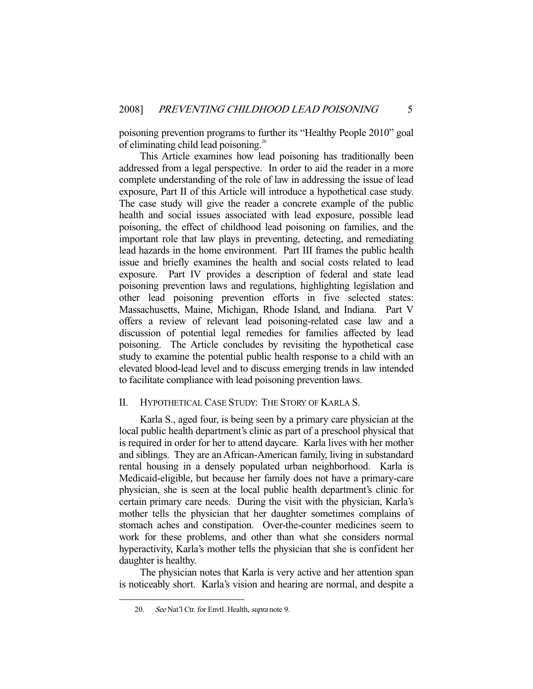poisoning prevention programs to further its "Healthy People 2010" goal of eliminating child lead poisoning.<sup>20</sup>

 This Article examines how lead poisoning has traditionally been addressed from a legal perspective. In order to aid the reader in a more complete understanding of the role of law in addressing the issue of lead exposure, Part II of this Article will introduce a hypothetical case study. The case study will give the reader a concrete example of the public health and social issues associated with lead exposure, possible lead poisoning, the effect of childhood lead poisoning on families, and the important role that law plays in preventing, detecting, and remediating lead hazards in the home environment. Part III frames the public health issue and briefly examines the health and social costs related to lead exposure. Part IV provides a description of federal and state lead poisoning prevention laws and regulations, highlighting legislation and other lead poisoning prevention efforts in five selected states: Massachusetts, Maine, Michigan, Rhode Island, and Indiana. Part V offers a review of relevant lead poisoning-related case law and a discussion of potential legal remedies for families affected by lead poisoning. The Article concludes by revisiting the hypothetical case study to examine the potential public health response to a child with an elevated blood-lead level and to discuss emerging trends in law intended to facilitate compliance with lead poisoning prevention laws.

#### II. HYPOTHETICAL CASE STUDY: THE STORY OF KARLA S.

 Karla S., aged four, is being seen by a primary care physician at the local public health department's clinic as part of a preschool physical that is required in order for her to attend daycare. Karla lives with her mother and siblings. They are an African-American family, living in substandard rental housing in a densely populated urban neighborhood. Karla is Medicaid-eligible, but because her family does not have a primary-care physician, she is seen at the local public health department's clinic for certain primary care needs. During the visit with the physician, Karla's mother tells the physician that her daughter sometimes complains of stomach aches and constipation. Over-the-counter medicines seem to work for these problems, and other than what she considers normal hyperactivity, Karla's mother tells the physician that she is confident her daughter is healthy.

 The physician notes that Karla is very active and her attention span is noticeably short. Karla's vision and hearing are normal, and despite a

<sup>20.</sup> See Nat'l Ctr. for Envtl. Health, supra note 9.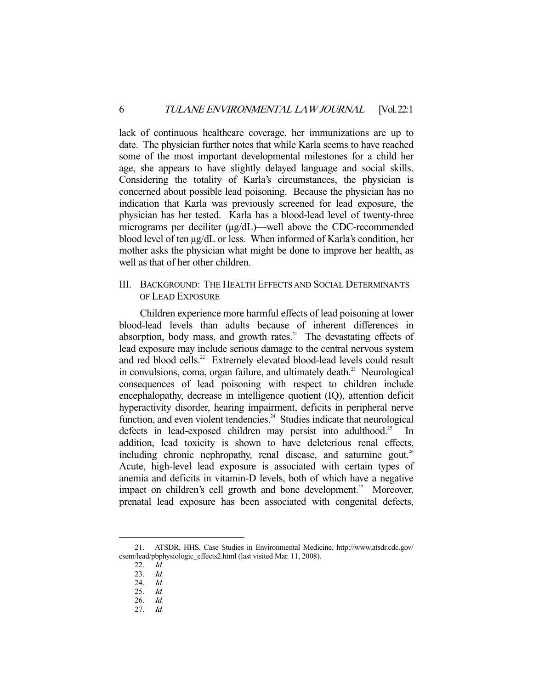lack of continuous healthcare coverage, her immunizations are up to date. The physician further notes that while Karla seems to have reached some of the most important developmental milestones for a child her age, she appears to have slightly delayed language and social skills. Considering the totality of Karla's circumstances, the physician is concerned about possible lead poisoning. Because the physician has no indication that Karla was previously screened for lead exposure, the physician has her tested. Karla has a blood-lead level of twenty-three micrograms per deciliter ( $\mu$ g/dL)—well above the CDC-recommended blood level of ten µg/dL or less. When informed of Karla's condition, her mother asks the physician what might be done to improve her health, as well as that of her other children.

#### III. BACKGROUND: THE HEALTH EFFECTS AND SOCIAL DETERMINANTS OF LEAD EXPOSURE

 Children experience more harmful effects of lead poisoning at lower blood-lead levels than adults because of inherent differences in absorption, body mass, and growth rates.<sup>21</sup> The devastating effects of lead exposure may include serious damage to the central nervous system and red blood cells.<sup>22</sup> Extremely elevated blood-lead levels could result in convulsions, coma, organ failure, and ultimately death.<sup>23</sup> Neurological consequences of lead poisoning with respect to children include encephalopathy, decrease in intelligence quotient (IQ), attention deficit hyperactivity disorder, hearing impairment, deficits in peripheral nerve function, and even violent tendencies.<sup>24</sup> Studies indicate that neurological defects in lead-exposed children may persist into adulthood.<sup>25</sup> In addition, lead toxicity is shown to have deleterious renal effects, including chronic nephropathy, renal disease, and saturnine gout.<sup>26</sup> Acute, high-level lead exposure is associated with certain types of anemia and deficits in vitamin-D levels, both of which have a negative impact on children's cell growth and bone development.<sup>27</sup> Moreover, prenatal lead exposure has been associated with congenital defects,

 <sup>21.</sup> ATSDR, HHS, Case Studies in Environmental Medicine, http://www.atsdr.cdc.gov/ csem/lead/pbphysiologic\_effects2.html (last visited Mar. 11, 2008).

 <sup>22.</sup> Id.

 <sup>23.</sup> Id.

 <sup>24.</sup> Id.

 <sup>25.</sup> Id.

<sup>26.</sup> *Id.*<br>27. *Id.* 27. Id.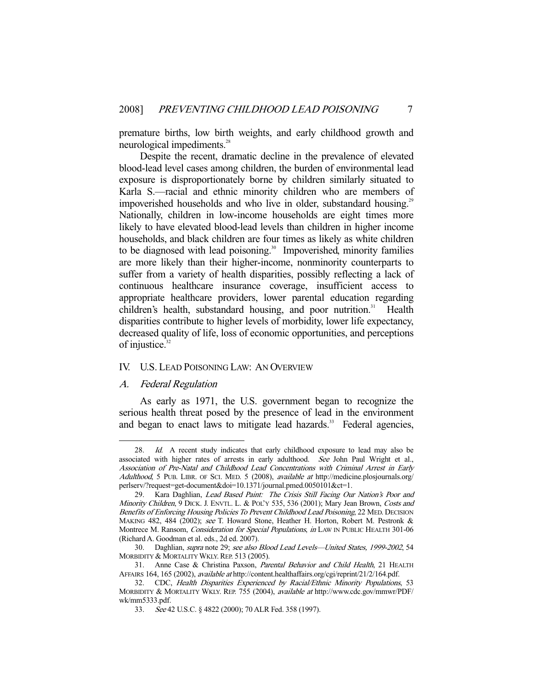premature births, low birth weights, and early childhood growth and neurological impediments.<sup>28</sup>

 Despite the recent, dramatic decline in the prevalence of elevated blood-lead level cases among children, the burden of environmental lead exposure is disproportionately borne by children similarly situated to Karla S.—racial and ethnic minority children who are members of impoverished households and who live in older, substandard housing.<sup>29</sup> Nationally, children in low-income households are eight times more likely to have elevated blood-lead levels than children in higher income households, and black children are four times as likely as white children to be diagnosed with lead poisoning.<sup>30</sup> Impoverished, minority families are more likely than their higher-income, nonminority counterparts to suffer from a variety of health disparities, possibly reflecting a lack of continuous healthcare insurance coverage, insufficient access to appropriate healthcare providers, lower parental education regarding children's health, substandard housing, and poor nutrition.<sup>31</sup> Health disparities contribute to higher levels of morbidity, lower life expectancy, decreased quality of life, loss of economic opportunities, and perceptions of injustice. $32$ 

#### IV. U.S. LEAD POISONING LAW: AN OVERVIEW

#### A. Federal Regulation

-

 As early as 1971, the U.S. government began to recognize the serious health threat posed by the presence of lead in the environment and began to enact laws to mitigate lead hazards.<sup>33</sup> Federal agencies,

<sup>28.</sup> Id. A recent study indicates that early childhood exposure to lead may also be associated with higher rates of arrests in early adulthood. See John Paul Wright et al., Association of Pre-Natal and Childhood Lead Concentrations with Criminal Arrest in Early Adulthood, 5 PUB. LIBR. OF SCI. MED. 5 (2008), available at http://medicine.plosjournals.org/ perlserv/?request=get-document&doi=10.1371/journal.pmed.0050101&ct=1.

 <sup>29.</sup> Kara Daghlian, Lead Based Paint: The Crisis Still Facing Our Nation's Poor and Minority Children, 9 DICK. J. ENVTL. L. & POL'Y 535, 536 (2001); Mary Jean Brown, Costs and Benefits of Enforcing Housing Policies To Prevent Childhood Lead Poisoning, 22 MED. DECISION MAKING 482, 484 (2002); see T. Howard Stone, Heather H. Horton, Robert M. Pestronk & Montrece M. Ransom, Consideration for Special Populations, in LAW IN PUBLIC HEALTH 301-06 (Richard A. Goodman et al. eds., 2d ed. 2007).

 <sup>30.</sup> Daghlian, supra note 29; see also Blood Lead Levels—United States, 1999-2002, 54 MORBIDITY & MORTALITY WKLY. REP. 513 (2005).

<sup>31.</sup> Anne Case & Christina Paxson, Parental Behavior and Child Health, 21 HEALTH AFFAIRS 164, 165 (2002), available at http://content.healthaffairs.org/cgi/reprint/21/2/164.pdf.

 <sup>32.</sup> CDC, Health Disparities Experienced by Racial/Ethnic Minority Populations, 53 MORBIDITY & MORTALITY WKLY. REP. 755 (2004), available at http://www.cdc.gov/mmwr/PDF/ wk/mm5333.pdf.

 <sup>33.</sup> See 42 U.S.C. § 4822 (2000); 70 ALR Fed. 358 (1997).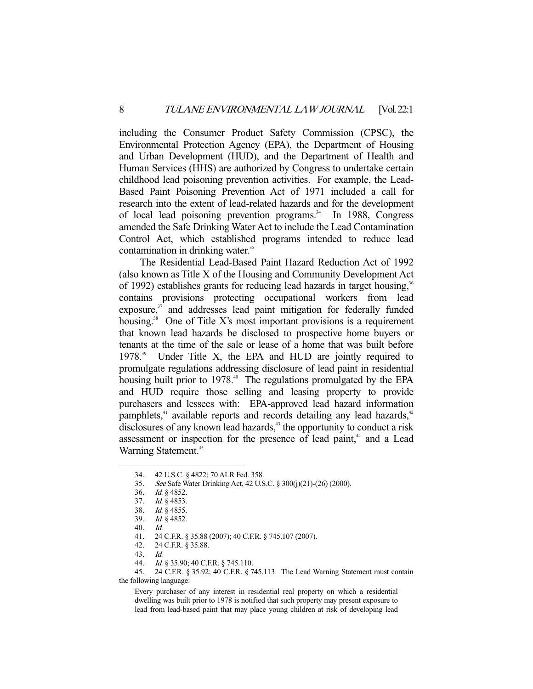including the Consumer Product Safety Commission (CPSC), the Environmental Protection Agency (EPA), the Department of Housing and Urban Development (HUD), and the Department of Health and Human Services (HHS) are authorized by Congress to undertake certain childhood lead poisoning prevention activities. For example, the Lead-Based Paint Poisoning Prevention Act of 1971 included a call for research into the extent of lead-related hazards and for the development of local lead poisoning prevention programs.<sup>34</sup> In 1988, Congress amended the Safe Drinking Water Act to include the Lead Contamination Control Act, which established programs intended to reduce lead contamination in drinking water.<sup>35</sup>

 The Residential Lead-Based Paint Hazard Reduction Act of 1992 (also known as Title X of the Housing and Community Development Act of 1992) establishes grants for reducing lead hazards in target housing,<sup>36</sup> contains provisions protecting occupational workers from lead exposure,<sup>37</sup> and addresses lead paint mitigation for federally funded housing.<sup>38</sup> One of Title X's most important provisions is a requirement that known lead hazards be disclosed to prospective home buyers or tenants at the time of the sale or lease of a home that was built before 1978.39 Under Title X, the EPA and HUD are jointly required to promulgate regulations addressing disclosure of lead paint in residential housing built prior to 1978.<sup>40</sup> The regulations promulgated by the EPA and HUD require those selling and leasing property to provide purchasers and lessees with: EPA-approved lead hazard information pamphlets, $4$ <sup>1</sup> available reports and records detailing any lead hazards, $4$ <sup>2</sup> disclosures of any known lead hazards,<sup>43</sup> the opportunity to conduct a risk assessment or inspection for the presence of lead paint,<sup>44</sup> and a Lead Warning Statement.<sup>45</sup>

 <sup>34. 42</sup> U.S.C. § 4822; 70 ALR Fed. 358.

 <sup>35.</sup> See Safe Water Drinking Act, 42 U.S.C. § 300(j)(21)-(26) (2000).

 <sup>36.</sup> Id. § 4852.

 <sup>37.</sup> Id. § 4853.

 <sup>38.</sup> Id. § 4855.

 <sup>39.</sup> Id. § 4852.

 <sup>40.</sup> Id.

 <sup>41. 24</sup> C.F.R. § 35.88 (2007); 40 C.F.R. § 745.107 (2007).

 <sup>42. 24</sup> C.F.R. § 35.88.

 <sup>43.</sup> Id.

 <sup>44.</sup> Id. § 35.90; 40 C.F.R. § 745.110.

 <sup>45. 24</sup> C.F.R. § 35.92; 40 C.F.R. § 745.113. The Lead Warning Statement must contain the following language:

Every purchaser of any interest in residential real property on which a residential dwelling was built prior to 1978 is notified that such property may present exposure to lead from lead-based paint that may place young children at risk of developing lead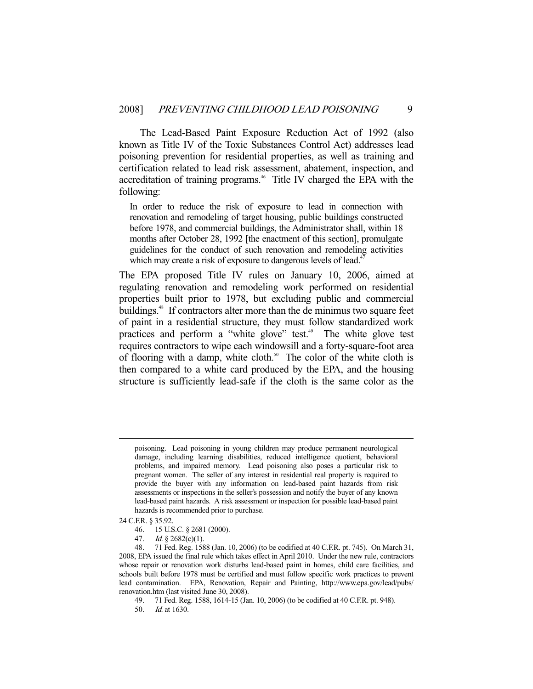The Lead-Based Paint Exposure Reduction Act of 1992 (also known as Title IV of the Toxic Substances Control Act) addresses lead poisoning prevention for residential properties, as well as training and certification related to lead risk assessment, abatement, inspection, and accreditation of training programs.<sup>46</sup> Title IV charged the EPA with the following:

In order to reduce the risk of exposure to lead in connection with renovation and remodeling of target housing, public buildings constructed before 1978, and commercial buildings, the Administrator shall, within 18 months after October 28, 1992 [the enactment of this section], promulgate guidelines for the conduct of such renovation and remodeling activities which may create a risk of exposure to dangerous levels of lead.<sup>4</sup>

The EPA proposed Title IV rules on January 10, 2006, aimed at regulating renovation and remodeling work performed on residential properties built prior to 1978, but excluding public and commercial buildings.<sup>48</sup> If contractors alter more than the de minimus two square feet of paint in a residential structure, they must follow standardized work practices and perform a "white glove" test.<sup>49</sup> The white glove test requires contractors to wipe each windowsill and a forty-square-foot area of flooring with a damp, white cloth.<sup>50</sup> The color of the white cloth is then compared to a white card produced by the EPA, and the housing structure is sufficiently lead-safe if the cloth is the same color as the

- 46. 15 U.S.C. § 2681 (2000).
- 47. Id. § 2682(c)(1).

poisoning. Lead poisoning in young children may produce permanent neurological damage, including learning disabilities, reduced intelligence quotient, behavioral problems, and impaired memory. Lead poisoning also poses a particular risk to pregnant women. The seller of any interest in residential real property is required to provide the buyer with any information on lead-based paint hazards from risk assessments or inspections in the seller's possession and notify the buyer of any known lead-based paint hazards. A risk assessment or inspection for possible lead-based paint hazards is recommended prior to purchase.

<sup>24</sup> C.F.R. § 35.92.

 <sup>48. 71</sup> Fed. Reg. 1588 (Jan. 10, 2006) (to be codified at 40 C.F.R. pt. 745). On March 31, 2008, EPA issued the final rule which takes effect in April 2010. Under the new rule, contractors whose repair or renovation work disturbs lead-based paint in homes, child care facilities, and schools built before 1978 must be certified and must follow specific work practices to prevent lead contamination. EPA, Renovation, Repair and Painting, http://www.epa.gov/lead/pubs/ renovation.htm (last visited June 30, 2008).

 <sup>49. 71</sup> Fed. Reg. 1588, 1614-15 (Jan. 10, 2006) (to be codified at 40 C.F.R. pt. 948).

 <sup>50.</sup> Id. at 1630.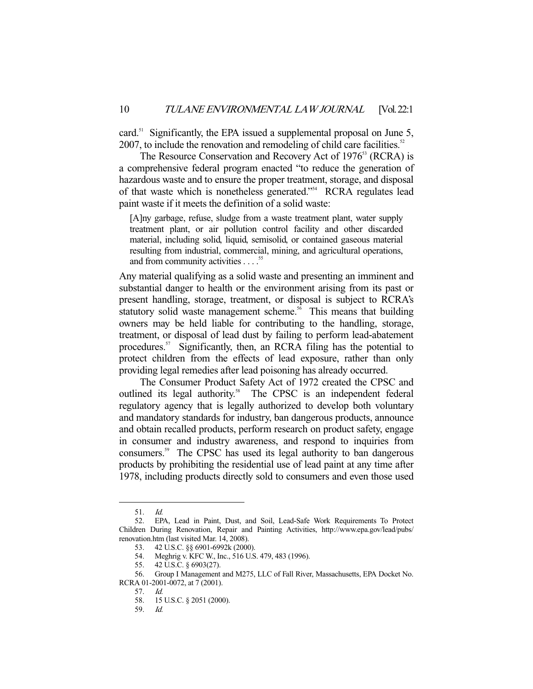card.<sup>51</sup> Significantly, the EPA issued a supplemental proposal on June 5, 2007, to include the renovation and remodeling of child care facilities.<sup>52</sup>

The Resource Conservation and Recovery Act of 1976<sup>53</sup> (RCRA) is a comprehensive federal program enacted "to reduce the generation of hazardous waste and to ensure the proper treatment, storage, and disposal of that waste which is nonetheless generated."54 RCRA regulates lead paint waste if it meets the definition of a solid waste:

[A]ny garbage, refuse, sludge from a waste treatment plant, water supply treatment plant, or air pollution control facility and other discarded material, including solid, liquid, semisolid, or contained gaseous material resulting from industrial, commercial, mining, and agricultural operations, and from community activities . . . .<sup>55</sup>

Any material qualifying as a solid waste and presenting an imminent and substantial danger to health or the environment arising from its past or present handling, storage, treatment, or disposal is subject to RCRA's statutory solid waste management scheme.<sup>56</sup> This means that building owners may be held liable for contributing to the handling, storage, treatment, or disposal of lead dust by failing to perform lead-abatement procedures. $57$  Significantly, then, an RCRA filing has the potential to protect children from the effects of lead exposure, rather than only providing legal remedies after lead poisoning has already occurred.

 The Consumer Product Safety Act of 1972 created the CPSC and outlined its legal authority.<sup>58</sup> The CPSC is an independent federal regulatory agency that is legally authorized to develop both voluntary and mandatory standards for industry, ban dangerous products, announce and obtain recalled products, perform research on product safety, engage in consumer and industry awareness, and respond to inquiries from consumers.59 The CPSC has used its legal authority to ban dangerous products by prohibiting the residential use of lead paint at any time after 1978, including products directly sold to consumers and even those used

-

59. Id.

 <sup>51.</sup> Id.

 <sup>52.</sup> EPA, Lead in Paint, Dust, and Soil, Lead-Safe Work Requirements To Protect Children During Renovation, Repair and Painting Activities, http://www.epa.gov/lead/pubs/ renovation.htm (last visited Mar. 14, 2008).

 <sup>53. 42</sup> U.S.C. §§ 6901-6992k (2000).

 <sup>54.</sup> Meghrig v. KFC W., Inc., 516 U.S. 479, 483 (1996).

 <sup>55. 42</sup> U.S.C. § 6903(27).

 <sup>56.</sup> Group I Management and M275, LLC of Fall River, Massachusetts, EPA Docket No. RCRA 01-2001-0072, at 7 (2001).

 <sup>57.</sup> Id.

 <sup>58. 15</sup> U.S.C. § 2051 (2000).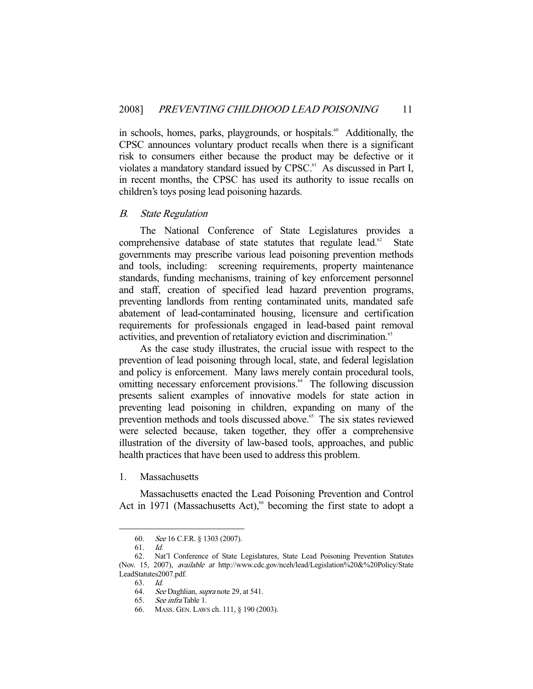in schools, homes, parks, playgrounds, or hospitals.<sup>60</sup> Additionally, the CPSC announces voluntary product recalls when there is a significant risk to consumers either because the product may be defective or it violates a mandatory standard issued by CPSC.<sup>61</sup> As discussed in Part I, in recent months, the CPSC has used its authority to issue recalls on children's toys posing lead poisoning hazards.

#### B. State Regulation

 The National Conference of State Legislatures provides a comprehensive database of state statutes that regulate lead. $62$  State governments may prescribe various lead poisoning prevention methods and tools, including: screening requirements, property maintenance standards, funding mechanisms, training of key enforcement personnel and staff, creation of specified lead hazard prevention programs, preventing landlords from renting contaminated units, mandated safe abatement of lead-contaminated housing, licensure and certification requirements for professionals engaged in lead-based paint removal activities, and prevention of retaliatory eviction and discrimination.<sup>63</sup>

 As the case study illustrates, the crucial issue with respect to the prevention of lead poisoning through local, state, and federal legislation and policy is enforcement. Many laws merely contain procedural tools, omitting necessary enforcement provisions.<sup>64</sup> The following discussion presents salient examples of innovative models for state action in preventing lead poisoning in children, expanding on many of the prevention methods and tools discussed above.<sup>65</sup> The six states reviewed were selected because, taken together, they offer a comprehensive illustration of the diversity of law-based tools, approaches, and public health practices that have been used to address this problem.

1. Massachusetts

 Massachusetts enacted the Lead Poisoning Prevention and Control Act in 1971 (Massachusetts Act),<sup>66</sup> becoming the first state to adopt a

<sup>60.</sup> See 16 C.F.R. § 1303 (2007).<br>61. Id.

<sup>61.</sup> 

 <sup>62.</sup> Nat'l Conference of State Legislatures, State Lead Poisoning Prevention Statutes (Nov. 15, 2007), available at http://www.cdc.gov/nceh/lead/Legislation%20&%20Policy/State LeadStatutes2007.pdf.

 <sup>63.</sup> Id.

<sup>64.</sup> See Daghlian, supra note 29, at 541.

 <sup>65.</sup> See infra Table 1.

 <sup>66.</sup> MASS. GEN. LAWS ch. 111, § 190 (2003).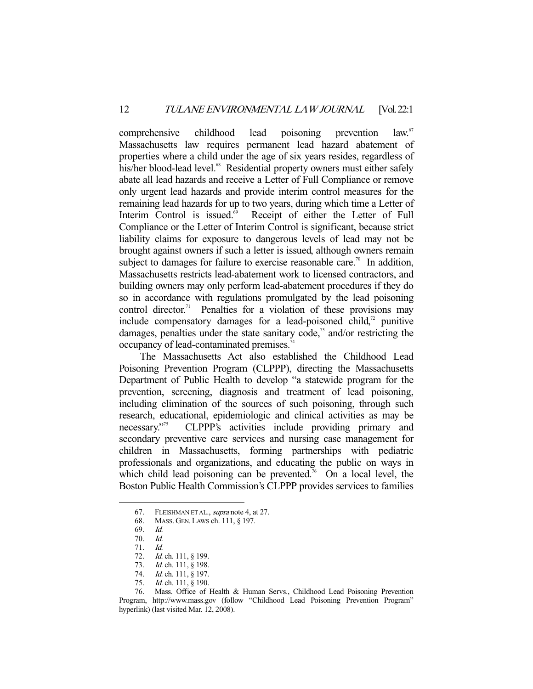comprehensive childhood lead poisoning prevention law.<sup>67</sup> Massachusetts law requires permanent lead hazard abatement of properties where a child under the age of six years resides, regardless of his/her blood-lead level.<sup>68</sup> Residential property owners must either safely abate all lead hazards and receive a Letter of Full Compliance or remove only urgent lead hazards and provide interim control measures for the remaining lead hazards for up to two years, during which time a Letter of Interim Control is issued.<sup>69</sup> Receipt of either the Letter of Full Compliance or the Letter of Interim Control is significant, because strict liability claims for exposure to dangerous levels of lead may not be brought against owners if such a letter is issued, although owners remain subject to damages for failure to exercise reasonable care.<sup>70</sup> In addition, Massachusetts restricts lead-abatement work to licensed contractors, and building owners may only perform lead-abatement procedures if they do so in accordance with regulations promulgated by the lead poisoning control director.<sup>71</sup> Penalties for a violation of these provisions may include compensatory damages for a lead-poisoned child, $\frac{1}{2}$  punitive damages, penalties under the state sanitary code, $\alpha$ <sup>3</sup> and/or restricting the occupancy of lead-contaminated premises.<sup>74</sup>

 The Massachusetts Act also established the Childhood Lead Poisoning Prevention Program (CLPPP), directing the Massachusetts Department of Public Health to develop "a statewide program for the prevention, screening, diagnosis and treatment of lead poisoning, including elimination of the sources of such poisoning, through such research, educational, epidemiologic and clinical activities as may be necessary."75 CLPPP's activities include providing primary and secondary preventive care services and nursing case management for children in Massachusetts, forming partnerships with pediatric professionals and organizations, and educating the public on ways in which child lead poisoning can be prevented.<sup>76</sup> On a local level, the Boston Public Health Commission's CLPPP provides services to families

-

74. *Id.* ch. 111, § 197.

<sup>67.</sup> FLEISHMAN ET AL., *supra* note 4, at 27.

 <sup>68.</sup> MASS. GEN. LAWS ch. 111, § 197.

 <sup>69.</sup> Id.

 <sup>70.</sup> Id.

<sup>71.</sup> *Id.*<br>72. *Id.* 72. *Id.* ch. 111, § 199.<br>73. *Id.* ch. 111, § 198.

Id. ch. 111, § 198.

<sup>75.</sup> *Id.* ch. 111, § 190.

 <sup>76.</sup> Mass. Office of Health & Human Servs., Childhood Lead Poisoning Prevention Program, http://www.mass.gov (follow "Childhood Lead Poisoning Prevention Program" hyperlink) (last visited Mar. 12, 2008).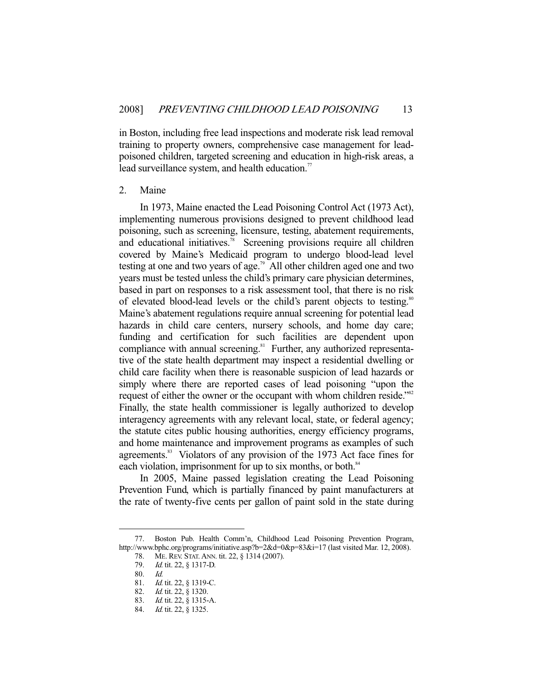in Boston, including free lead inspections and moderate risk lead removal training to property owners, comprehensive case management for leadpoisoned children, targeted screening and education in high-risk areas, a lead surveillance system, and health education. $\frac{7}{7}$ 

#### 2. Maine

 In 1973, Maine enacted the Lead Poisoning Control Act (1973 Act), implementing numerous provisions designed to prevent childhood lead poisoning, such as screening, licensure, testing, abatement requirements, and educational initiatives.<sup>78</sup> Screening provisions require all children covered by Maine's Medicaid program to undergo blood-lead level testing at one and two years of age.<sup>79</sup> All other children aged one and two years must be tested unless the child's primary care physician determines, based in part on responses to a risk assessment tool, that there is no risk of elevated blood-lead levels or the child's parent objects to testing.<sup>80</sup> Maine's abatement regulations require annual screening for potential lead hazards in child care centers, nursery schools, and home day care; funding and certification for such facilities are dependent upon compliance with annual screening.<sup>81</sup> Further, any authorized representative of the state health department may inspect a residential dwelling or child care facility when there is reasonable suspicion of lead hazards or simply where there are reported cases of lead poisoning "upon the request of either the owner or the occupant with whom children reside."<sup>82</sup> Finally, the state health commissioner is legally authorized to develop interagency agreements with any relevant local, state, or federal agency; the statute cites public housing authorities, energy efficiency programs, and home maintenance and improvement programs as examples of such agreements.<sup>83</sup> Violators of any provision of the 1973 Act face fines for each violation, imprisonment for up to six months, or both. $84$ 

 In 2005, Maine passed legislation creating the Lead Poisoning Prevention Fund, which is partially financed by paint manufacturers at the rate of twenty-five cents per gallon of paint sold in the state during

 <sup>77.</sup> Boston Pub. Health Comm'n, Childhood Lead Poisoning Prevention Program, http://www.bphc.org/programs/initiative.asp?b=2&d=0&p=83&i=17 (last visited Mar. 12, 2008).

 <sup>78.</sup> ME. REV. STAT. ANN. tit. 22, § 1314 (2007).

<sup>79.</sup> *Id.* tit. 22, § 1317-D.

 <sup>80.</sup> Id.

<sup>81.</sup> *Id.* tit. 22, § 1319-C.

<sup>82.</sup> *Id.* tit. 22, § 1320.

 <sup>83.</sup> Id. tit. 22, § 1315-A.

<sup>84.</sup> *Id.* tit. 22, § 1325.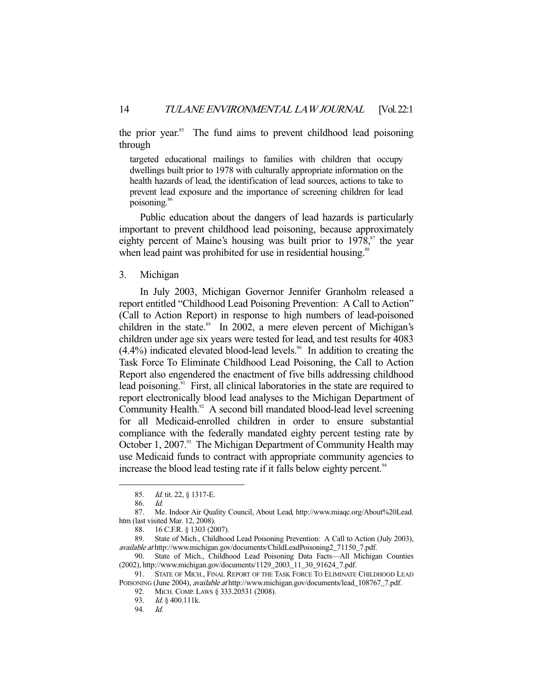the prior year.<sup>85</sup> The fund aims to prevent childhood lead poisoning through

targeted educational mailings to families with children that occupy dwellings built prior to 1978 with culturally appropriate information on the health hazards of lead, the identification of lead sources, actions to take to prevent lead exposure and the importance of screening children for lead poisoning.<sup>86</sup>

 Public education about the dangers of lead hazards is particularly important to prevent childhood lead poisoning, because approximately eighty percent of Maine's housing was built prior to  $1978$ ,<sup>87</sup> the year when lead paint was prohibited for use in residential housing.<sup>88</sup>

#### 3. Michigan

 In July 2003, Michigan Governor Jennifer Granholm released a report entitled "Childhood Lead Poisoning Prevention: A Call to Action" (Call to Action Report) in response to high numbers of lead-poisoned children in the state. $89$  In 2002, a mere eleven percent of Michigan's children under age six years were tested for lead, and test results for 4083  $(4.4\%)$  indicated elevated blood-lead levels.<sup>90</sup> In addition to creating the Task Force To Eliminate Childhood Lead Poisoning, the Call to Action Report also engendered the enactment of five bills addressing childhood lead poisoning.<sup>91</sup> First, all clinical laboratories in the state are required to report electronically blood lead analyses to the Michigan Department of Community Health. $92$  A second bill mandated blood-lead level screening for all Medicaid-enrolled children in order to ensure substantial compliance with the federally mandated eighty percent testing rate by October 1, 2007.<sup>93</sup> The Michigan Department of Community Health may use Medicaid funds to contract with appropriate community agencies to increase the blood lead testing rate if it falls below eighty percent.<sup>94</sup>

-

92. MICH. COMP. LAWS § 333.20531 (2008).

<sup>85.</sup> *Id.* tit. 22, § 1317-E.

 <sup>86.</sup> Id.

<sup>87.</sup> Me. Indoor Air Quality Council, About Lead, http://www.miaqc.org/About%20Lead. htm (last visited Mar. 12, 2008).

 <sup>88. 16</sup> C.F.R. § 1303 (2007).

 <sup>89.</sup> State of Mich., Childhood Lead Poisoning Prevention: A Call to Action (July 2003), available at http://www.michigan.gov/documents/ChildLeadPoisoning2\_71150\_7.pdf.

 <sup>90.</sup> State of Mich., Childhood Lead Poisoning Data Facts—All Michigan Counties (2002), http://www.michigan.gov/documents/1129\_2003\_11\_30\_91624\_7.pdf.

 <sup>91.</sup> STATE OF MICH., FINAL REPORT OF THE TASK FORCE TO ELIMINATE CHILDHOOD LEAD POISONING (June 2004), available at http://www.michigan.gov/documents/lead\_108767\_7.pdf.

<sup>93.</sup> *Id.* § 400.111k.<br>94. *Id.* 

 <sup>94.</sup> Id.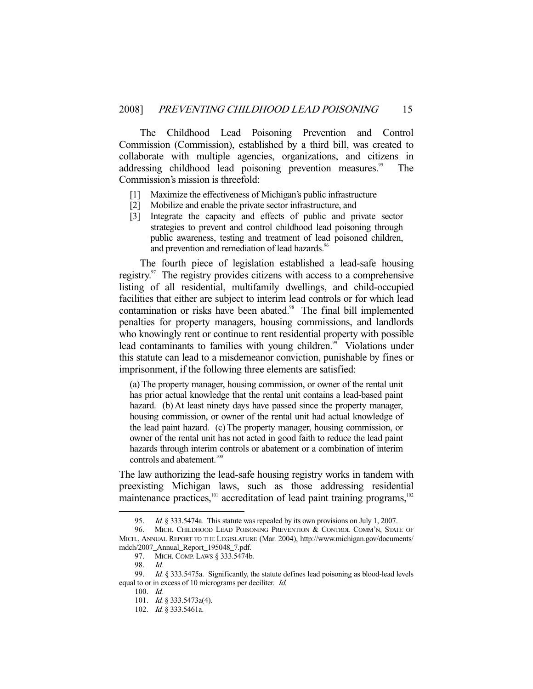The Childhood Lead Poisoning Prevention and Control Commission (Commission), established by a third bill, was created to collaborate with multiple agencies, organizations, and citizens in addressing childhood lead poisoning prevention measures.<sup>95</sup> The Commission's mission is threefold:

- [1] Maximize the effectiveness of Michigan's public infrastructure
- [2] Mobilize and enable the private sector infrastructure, and
- [3] Integrate the capacity and effects of public and private sector strategies to prevent and control childhood lead poisoning through public awareness, testing and treatment of lead poisoned children, and prevention and remediation of lead hazards.<sup>96</sup>

 The fourth piece of legislation established a lead-safe housing registry.<sup>97</sup> The registry provides citizens with access to a comprehensive listing of all residential, multifamily dwellings, and child-occupied facilities that either are subject to interim lead controls or for which lead contamination or risks have been abated.<sup>98</sup> The final bill implemented penalties for property managers, housing commissions, and landlords who knowingly rent or continue to rent residential property with possible lead contaminants to families with young children.<sup>99</sup> Violations under this statute can lead to a misdemeanor conviction, punishable by fines or imprisonment, if the following three elements are satisfied:

(a) The property manager, housing commission, or owner of the rental unit has prior actual knowledge that the rental unit contains a lead-based paint hazard. (b) At least ninety days have passed since the property manager, housing commission, or owner of the rental unit had actual knowledge of the lead paint hazard. (c) The property manager, housing commission, or owner of the rental unit has not acted in good faith to reduce the lead paint hazards through interim controls or abatement or a combination of interim controls and abatement.<sup>100</sup>

The law authorizing the lead-safe housing registry works in tandem with preexisting Michigan laws, such as those addressing residential maintenance practices, $101$  accreditation of lead paint training programs, $102$ 

 <sup>95.</sup> Id. § 333.5474a. This statute was repealed by its own provisions on July 1, 2007.

<sup>96.</sup> MICH. CHILDHOOD LEAD POISONING PREVENTION & CONTROL COMM'N, STATE OF MICH., ANNUAL REPORT TO THE LEGISLATURE (Mar. 2004), http://www.michigan.gov/documents/ mdch/2007\_Annual\_Report\_195048\_7.pdf.

 <sup>97.</sup> MICH. COMP. LAWS § 333.5474b.

 <sup>98.</sup> Id.

<sup>99.</sup> *Id.* § 333.5475a. Significantly, the statute defines lead poisoning as blood-lead levels equal to or in excess of 10 micrograms per deciliter. Id.

 <sup>100.</sup> Id.

<sup>101.</sup> *Id.* § 333.5473a(4).

<sup>102.</sup> *Id.* § 333.5461a.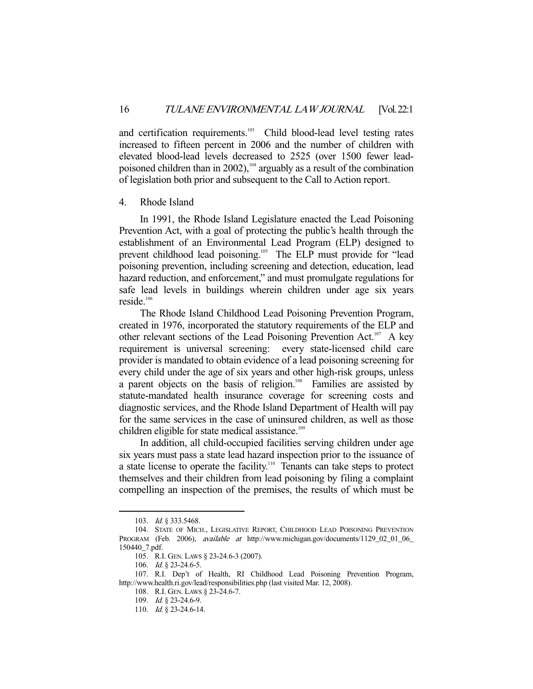and certification requirements.<sup>103</sup> Child blood-lead level testing rates increased to fifteen percent in 2006 and the number of children with elevated blood-lead levels decreased to 2525 (over 1500 fewer leadpoisoned children than in 2002),<sup>104</sup> arguably as a result of the combination of legislation both prior and subsequent to the Call to Action report.

#### 4. Rhode Island

 In 1991, the Rhode Island Legislature enacted the Lead Poisoning Prevention Act, with a goal of protecting the public's health through the establishment of an Environmental Lead Program (ELP) designed to prevent childhood lead poisoning.<sup>105</sup> The ELP must provide for "lead poisoning prevention, including screening and detection, education, lead hazard reduction, and enforcement," and must promulgate regulations for safe lead levels in buildings wherein children under age six years  $reside<sup>106</sup>$ 

 The Rhode Island Childhood Lead Poisoning Prevention Program, created in 1976, incorporated the statutory requirements of the ELP and other relevant sections of the Lead Poisoning Prevention Act.<sup>107</sup> A key requirement is universal screening: every state-licensed child care provider is mandated to obtain evidence of a lead poisoning screening for every child under the age of six years and other high-risk groups, unless a parent objects on the basis of religion.<sup>108</sup> Families are assisted by statute-mandated health insurance coverage for screening costs and diagnostic services, and the Rhode Island Department of Health will pay for the same services in the case of uninsured children, as well as those children eligible for state medical assistance.<sup>109</sup>

 In addition, all child-occupied facilities serving children under age six years must pass a state lead hazard inspection prior to the issuance of a state license to operate the facility.<sup>110</sup> Tenants can take steps to protect themselves and their children from lead poisoning by filing a complaint compelling an inspection of the premises, the results of which must be

<sup>103.</sup> *Id.* § 333.5468.

 <sup>104.</sup> STATE OF MICH., LEGISLATIVE REPORT, CHILDHOOD LEAD POISONING PREVENTION PROGRAM (Feb. 2006), *available at* http://www.michigan.gov/documents/1129\_02\_01\_06\_ 150440\_7.pdf.

 <sup>105.</sup> R.I. GEN. LAWS § 23-24.6-3 (2007).

<sup>106.</sup> *Id.* § 23-24.6-5.

 <sup>107.</sup> R.I. Dep't of Health, RI Childhood Lead Poisoning Prevention Program, http://www.health.ri.gov/lead/responsibilities.php (last visited Mar. 12, 2008).

 <sup>108.</sup> R.I. GEN. LAWS § 23-24.6-7.

 <sup>109.</sup> Id. § 23-24.6-9.

<sup>110.</sup> *Id.* § 23-24.6-14.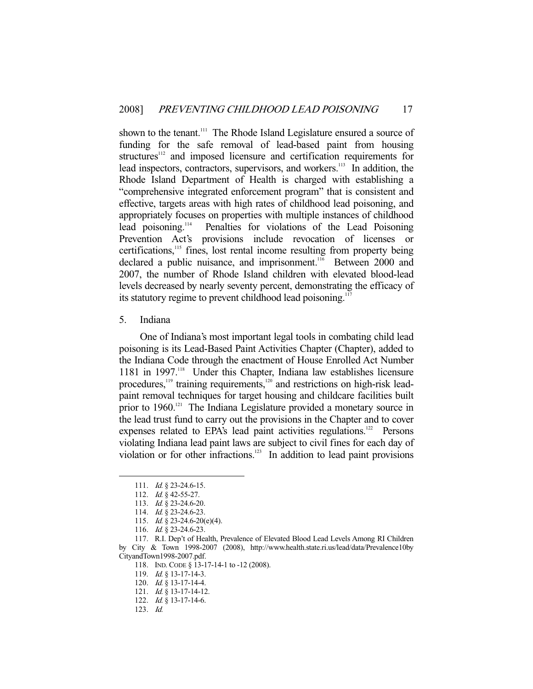shown to the tenant.<sup>111</sup> The Rhode Island Legislature ensured a source of funding for the safe removal of lead-based paint from housing structures<sup>112</sup> and imposed licensure and certification requirements for lead inspectors, contractors, supervisors, and workers.<sup>113</sup> In addition, the Rhode Island Department of Health is charged with establishing a "comprehensive integrated enforcement program" that is consistent and effective, targets areas with high rates of childhood lead poisoning, and appropriately focuses on properties with multiple instances of childhood lead poisoning.114 Penalties for violations of the Lead Poisoning Prevention Act's provisions include revocation of licenses or certifications,<sup>115</sup> fines, lost rental income resulting from property being declared a public nuisance, and imprisonment.<sup>116</sup> Between 2000 and 2007, the number of Rhode Island children with elevated blood-lead levels decreased by nearly seventy percent, demonstrating the efficacy of its statutory regime to prevent childhood lead poisoning.<sup>117</sup>

#### 5. Indiana

 One of Indiana's most important legal tools in combating child lead poisoning is its Lead-Based Paint Activities Chapter (Chapter), added to the Indiana Code through the enactment of House Enrolled Act Number 1181 in 1997.<sup>118</sup> Under this Chapter, Indiana law establishes licensure procedures,<sup>119</sup> training requirements,<sup>120</sup> and restrictions on high-risk leadpaint removal techniques for target housing and childcare facilities built prior to 1960.<sup>121</sup> The Indiana Legislature provided a monetary source in the lead trust fund to carry out the provisions in the Chapter and to cover expenses related to EPA's lead paint activities regulations.<sup>122</sup> Persons violating Indiana lead paint laws are subject to civil fines for each day of violation or for other infractions.<sup>123</sup> In addition to lead paint provisions

<sup>111.</sup> *Id.* § 23-24.6-15.

<sup>112.</sup> *Id.* § 42-55-27.

 <sup>113.</sup> Id. § 23-24.6-20.

<sup>114.</sup> *Id.* § 23-24.6-23.

<sup>115.</sup> *Id.* § 23-24.6-20(e)(4).

<sup>116.</sup> *Id.* § 23-24.6-23.

 <sup>117.</sup> R.I. Dep't of Health, Prevalence of Elevated Blood Lead Levels Among RI Children by City & Town 1998-2007 (2008), http://www.health.state.ri.us/lead/data/Prevalence10by CityandTown1998-2007.pdf.

<sup>118.</sup> IND. CODE § 13-17-14-1 to -12 (2008).

<sup>119.</sup> *Id.* § 13-17-14-3.

<sup>120.</sup> *Id.* § 13-17-14-4.

<sup>121.</sup> *Id.* § 13-17-14-12.

<sup>122.</sup> *Id.* § 13-17-14-6.

 <sup>123.</sup> Id.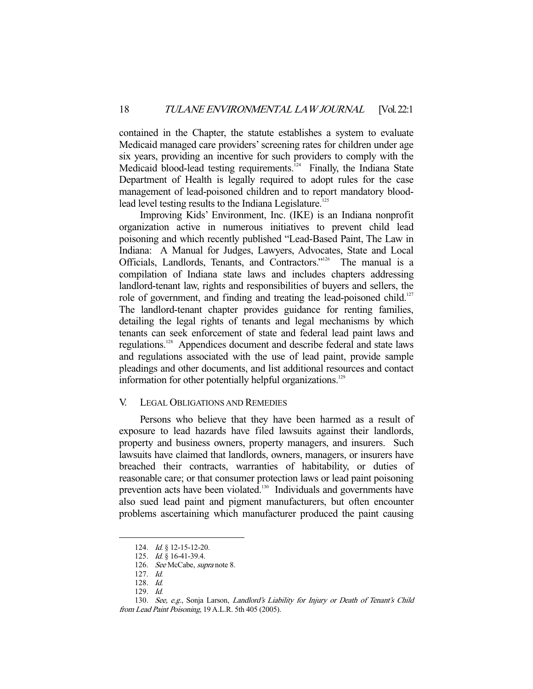contained in the Chapter, the statute establishes a system to evaluate Medicaid managed care providers' screening rates for children under age six years, providing an incentive for such providers to comply with the Medicaid blood-lead testing requirements. $124$  Finally, the Indiana State Department of Health is legally required to adopt rules for the case management of lead-poisoned children and to report mandatory bloodlead level testing results to the Indiana Legislature.<sup>125</sup>

 Improving Kids' Environment, Inc. (IKE) is an Indiana nonprofit organization active in numerous initiatives to prevent child lead poisoning and which recently published "Lead-Based Paint, The Law in Indiana: A Manual for Judges, Lawyers, Advocates, State and Local Officials, Landlords, Tenants, and Contractors."126 The manual is a compilation of Indiana state laws and includes chapters addressing landlord-tenant law, rights and responsibilities of buyers and sellers, the role of government, and finding and treating the lead-poisoned child.<sup>127</sup> The landlord-tenant chapter provides guidance for renting families, detailing the legal rights of tenants and legal mechanisms by which tenants can seek enforcement of state and federal lead paint laws and regulations.128 Appendices document and describe federal and state laws and regulations associated with the use of lead paint, provide sample pleadings and other documents, and list additional resources and contact information for other potentially helpful organizations.<sup>129</sup>

#### V. LEGAL OBLIGATIONS AND REMEDIES

 Persons who believe that they have been harmed as a result of exposure to lead hazards have filed lawsuits against their landlords, property and business owners, property managers, and insurers. Such lawsuits have claimed that landlords, owners, managers, or insurers have breached their contracts, warranties of habitability, or duties of reasonable care; or that consumer protection laws or lead paint poisoning prevention acts have been violated.<sup>130</sup> Individuals and governments have also sued lead paint and pigment manufacturers, but often encounter problems ascertaining which manufacturer produced the paint causing

<sup>124.</sup> *Id.* § 12-15-12-20.

 <sup>125.</sup> Id. § 16-41-39.4.

 <sup>126.</sup> See McCabe, supra note 8.

 <sup>127.</sup> Id.

 <sup>128.</sup> Id.

 <sup>129.</sup> Id.

<sup>130.</sup> See, e.g., Sonja Larson, Landlord's Liability for Injury or Death of Tenant's Child

from Lead Paint Poisoning, 19 A.L.R. 5th 405 (2005).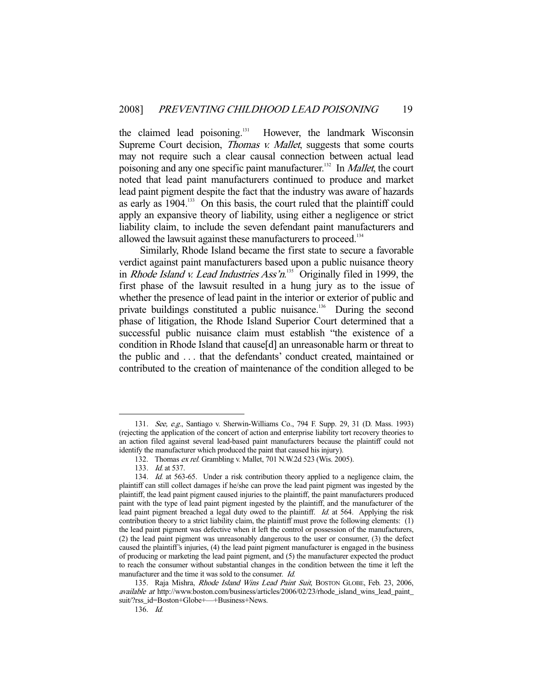the claimed lead poisoning.<sup>131</sup> However, the landmark Wisconsin Supreme Court decision, *Thomas v. Mallet*, suggests that some courts may not require such a clear causal connection between actual lead poisoning and any one specific paint manufacturer.<sup>132</sup> In *Mallet*, the court noted that lead paint manufacturers continued to produce and market lead paint pigment despite the fact that the industry was aware of hazards as early as  $1904$ <sup>133</sup> On this basis, the court ruled that the plaintiff could apply an expansive theory of liability, using either a negligence or strict liability claim, to include the seven defendant paint manufacturers and allowed the lawsuit against these manufacturers to proceed.<sup>134</sup>

 Similarly, Rhode Island became the first state to secure a favorable verdict against paint manufacturers based upon a public nuisance theory in *Rhode Island v. Lead Industries Ass'n*.<sup>135</sup> Originally filed in 1999, the first phase of the lawsuit resulted in a hung jury as to the issue of whether the presence of lead paint in the interior or exterior of public and private buildings constituted a public nuisance.<sup>136</sup> During the second phase of litigation, the Rhode Island Superior Court determined that a successful public nuisance claim must establish "the existence of a condition in Rhode Island that cause[d] an unreasonable harm or threat to the public and . . . that the defendants' conduct created, maintained or contributed to the creation of maintenance of the condition alleged to be

 <sup>131.</sup> See, e.g., Santiago v. Sherwin-Williams Co., 794 F. Supp. 29, 31 (D. Mass. 1993) (rejecting the application of the concert of action and enterprise liability tort recovery theories to an action filed against several lead-based paint manufacturers because the plaintiff could not identify the manufacturer which produced the paint that caused his injury).

 <sup>132.</sup> Thomas ex rel. Grambling v. Mallet, 701 N.W.2d 523 (Wis. 2005).

<sup>133.</sup> *Id.* at 537.

<sup>134.</sup> Id. at 563-65. Under a risk contribution theory applied to a negligence claim, the plaintiff can still collect damages if he/she can prove the lead paint pigment was ingested by the plaintiff, the lead paint pigment caused injuries to the plaintiff, the paint manufacturers produced paint with the type of lead paint pigment ingested by the plaintiff, and the manufacturer of the lead paint pigment breached a legal duty owed to the plaintiff. Id. at 564. Applying the risk contribution theory to a strict liability claim, the plaintiff must prove the following elements: (1) the lead paint pigment was defective when it left the control or possession of the manufacturers, (2) the lead paint pigment was unreasonably dangerous to the user or consumer, (3) the defect caused the plaintiff's injuries, (4) the lead paint pigment manufacturer is engaged in the business of producing or marketing the lead paint pigment, and (5) the manufacturer expected the product to reach the consumer without substantial changes in the condition between the time it left the manufacturer and the time it was sold to the consumer. Id.

<sup>135.</sup> Raja Mishra, Rhode Island Wins Lead Paint Suit, BOSTON GLOBE, Feb. 23, 2006, available at http://www.boston.com/business/articles/2006/02/23/rhode\_island\_wins\_lead\_paint\_ suit/?rss\_id=Boston+Globe+—+Business+News.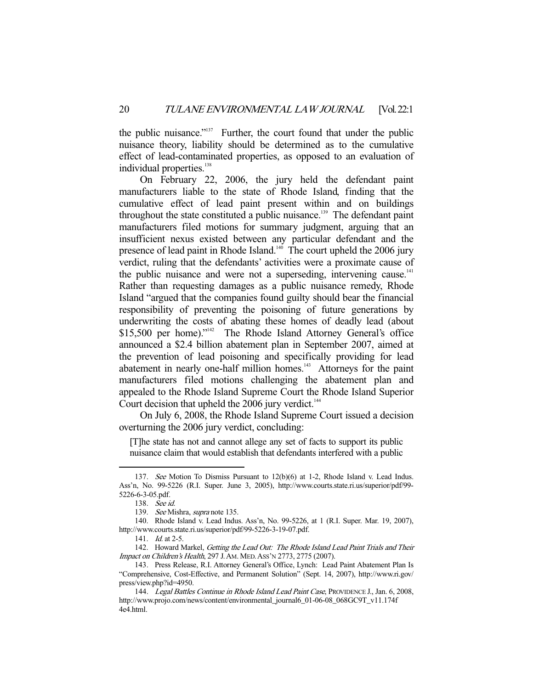the public nuisance."137 Further, the court found that under the public nuisance theory, liability should be determined as to the cumulative effect of lead-contaminated properties, as opposed to an evaluation of individual properties.<sup>138</sup>

 On February 22, 2006, the jury held the defendant paint manufacturers liable to the state of Rhode Island, finding that the cumulative effect of lead paint present within and on buildings throughout the state constituted a public nuisance.<sup>139</sup> The defendant paint manufacturers filed motions for summary judgment, arguing that an insufficient nexus existed between any particular defendant and the presence of lead paint in Rhode Island. $140$  The court upheld the 2006 jury verdict, ruling that the defendants' activities were a proximate cause of the public nuisance and were not a superseding, intervening cause.<sup>141</sup> Rather than requesting damages as a public nuisance remedy, Rhode Island "argued that the companies found guilty should bear the financial responsibility of preventing the poisoning of future generations by underwriting the costs of abating these homes of deadly lead (about \$15,500 per home)."<sup>142</sup> The Rhode Island Attorney General's office announced a \$2.4 billion abatement plan in September 2007, aimed at the prevention of lead poisoning and specifically providing for lead abatement in nearly one-half million homes.<sup>143</sup> Attorneys for the paint manufacturers filed motions challenging the abatement plan and appealed to the Rhode Island Supreme Court the Rhode Island Superior Court decision that upheld the  $2006$  jury verdict.<sup>144</sup>

 On July 6, 2008, the Rhode Island Supreme Court issued a decision overturning the 2006 jury verdict, concluding:

[T]he state has not and cannot allege any set of facts to support its public nuisance claim that would establish that defendants interfered with a public

 <sup>137.</sup> See Motion To Dismiss Pursuant to 12(b)(6) at 1-2, Rhode Island v. Lead Indus. Ass'n, No. 99-5226 (R.I. Super. June 3, 2005), http://www.courts.state.ri.us/superior/pdf/99- 5226-6-3-05.pdf.

 <sup>138.</sup> See id.

 <sup>139.</sup> See Mishra, supra note 135.

 <sup>140.</sup> Rhode Island v. Lead Indus. Ass'n, No. 99-5226, at 1 (R.I. Super. Mar. 19, 2007), http://www.courts.state.ri.us/superior/pdf/99-5226-3-19-07.pdf.

 <sup>141.</sup> Id. at 2-5.

 <sup>142.</sup> Howard Markel, Getting the Lead Out: The Rhode Island Lead Paint Trials and Their Impact on Children's Health, 297 J.AM. MED.ASS'N 2773, 2775 (2007).

 <sup>143.</sup> Press Release, R.I. Attorney General's Office, Lynch: Lead Paint Abatement Plan Is "Comprehensive, Cost-Effective, and Permanent Solution" (Sept. 14, 2007), http://www.ri.gov/ press/view.php?id=4950.

 <sup>144.</sup> Legal Battles Continue in Rhode Island Lead Paint Case, PROVIDENCE J., Jan. 6, 2008, http://www.projo.com/news/content/environmental\_journal6\_01-06-08\_068GC9T\_v11.174f 4e4.html.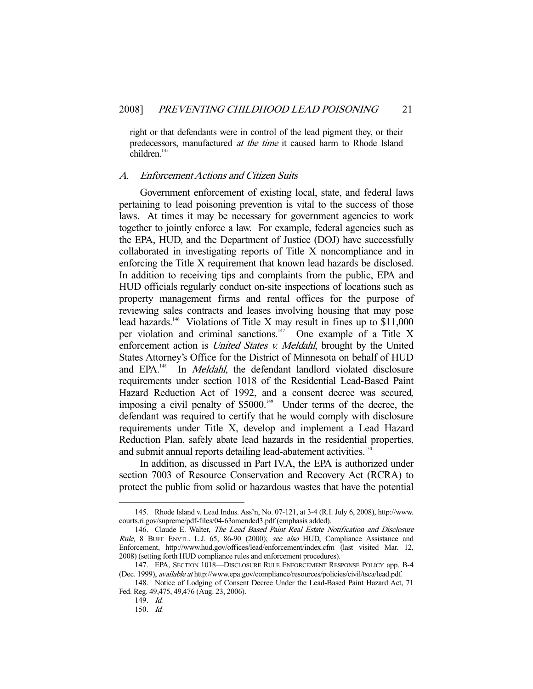right or that defendants were in control of the lead pigment they, or their predecessors, manufactured at the time it caused harm to Rhode Island children.<sup>145</sup>

#### A. Enforcement Actions and Citizen Suits

 Government enforcement of existing local, state, and federal laws pertaining to lead poisoning prevention is vital to the success of those laws. At times it may be necessary for government agencies to work together to jointly enforce a law. For example, federal agencies such as the EPA, HUD, and the Department of Justice (DOJ) have successfully collaborated in investigating reports of Title X noncompliance and in enforcing the Title X requirement that known lead hazards be disclosed. In addition to receiving tips and complaints from the public, EPA and HUD officials regularly conduct on-site inspections of locations such as property management firms and rental offices for the purpose of reviewing sales contracts and leases involving housing that may pose lead hazards.<sup>146</sup> Violations of Title X may result in fines up to \$11,000 per violation and criminal sanctions. $147$  One example of a Title X enforcement action is *United States v. Meldahl*, brought by the United States Attorney's Office for the District of Minnesota on behalf of HUD and EPA.<sup>148</sup> In *Meldahl*, the defendant landlord violated disclosure requirements under section 1018 of the Residential Lead-Based Paint Hazard Reduction Act of 1992, and a consent decree was secured, imposing a civil penalty of \$5000.<sup>149</sup> Under terms of the decree, the defendant was required to certify that he would comply with disclosure requirements under Title X, develop and implement a Lead Hazard Reduction Plan, safely abate lead hazards in the residential properties, and submit annual reports detailing lead-abatement activities.<sup>150</sup>

 In addition, as discussed in Part IV.A, the EPA is authorized under section 7003 of Resource Conservation and Recovery Act (RCRA) to protect the public from solid or hazardous wastes that have the potential

 <sup>145.</sup> Rhode Island v. Lead Indus. Ass'n, No. 07-121, at 3-4 (R.I. July 6, 2008), http://www. courts.ri.gov/supreme/pdf-files/04-63amended3.pdf (emphasis added).

<sup>146.</sup> Claude E. Walter, The Lead Based Paint Real Estate Notification and Disclosure Rule, 8 BUFF ENVTL. L.J. 65, 86-90 (2000); see also HUD, Compliance Assistance and Enforcement, http://www.hud.gov/offices/lead/enforcement/index.cfm (last visited Mar. 12, 2008) (setting forth HUD compliance rules and enforcement procedures).

 <sup>147.</sup> EPA, SECTION 1018—DISCLOSURE RULE ENFORCEMENT RESPONSE POLICY app. B-4 (Dec. 1999), available at http://www.epa.gov/compliance/resources/policies/civil/tsca/lead.pdf.

 <sup>148.</sup> Notice of Lodging of Consent Decree Under the Lead-Based Paint Hazard Act, 71 Fed. Reg. 49,475, 49,476 (Aug. 23, 2006).

 <sup>149.</sup> Id.

 <sup>150.</sup> Id.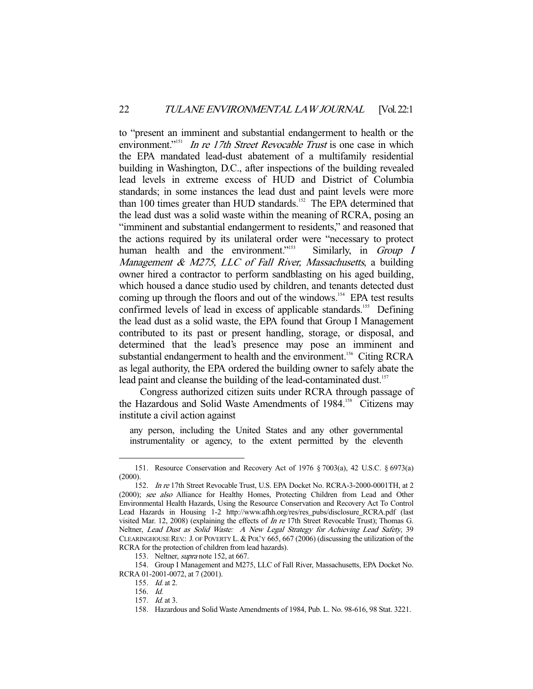to "present an imminent and substantial endangerment to health or the environment."<sup>151</sup> In re 17th Street Revocable Trust is one case in which the EPA mandated lead-dust abatement of a multifamily residential building in Washington, D.C., after inspections of the building revealed lead levels in extreme excess of HUD and District of Columbia standards; in some instances the lead dust and paint levels were more than 100 times greater than HUD standards.<sup>152</sup> The EPA determined that the lead dust was a solid waste within the meaning of RCRA, posing an "imminent and substantial endangerment to residents," and reasoned that the actions required by its unilateral order were "necessary to protect human health and the environment."<sup>153</sup> Similarly, in *Group I* Management & M275, LLC of Fall River, Massachusetts, a building owner hired a contractor to perform sandblasting on his aged building, which housed a dance studio used by children, and tenants detected dust coming up through the floors and out of the windows.<sup>154</sup> EPA test results confirmed levels of lead in excess of applicable standards.<sup>155</sup> Defining the lead dust as a solid waste, the EPA found that Group I Management contributed to its past or present handling, storage, or disposal, and determined that the lead's presence may pose an imminent and substantial endangerment to health and the environment.<sup>156</sup> Citing RCRA as legal authority, the EPA ordered the building owner to safely abate the lead paint and cleanse the building of the lead-contaminated dust.<sup>157</sup>

 Congress authorized citizen suits under RCRA through passage of the Hazardous and Solid Waste Amendments of 1984.<sup>158</sup> Citizens may institute a civil action against

any person, including the United States and any other governmental instrumentality or agency, to the extent permitted by the eleventh

 <sup>151.</sup> Resource Conservation and Recovery Act of 1976 § 7003(a), 42 U.S.C. § 6973(a) (2000).

 <sup>152.</sup> In re 17th Street Revocable Trust, U.S. EPA Docket No. RCRA-3-2000-0001TH, at 2 (2000); see also Alliance for Healthy Homes, Protecting Children from Lead and Other Environmental Health Hazards, Using the Resource Conservation and Recovery Act To Control Lead Hazards in Housing 1-2 http://www.afhh.org/res/res\_pubs/disclosure\_RCRA.pdf (last visited Mar. 12, 2008) (explaining the effects of In re 17th Street Revocable Trust); Thomas G. Neltner, Lead Dust as Solid Waste: A New Legal Strategy for Achieving Lead Safety, 39 CLEARINGHOUSE REV.: J. OF POVERTY L. & POL'Y 665, 667 (2006) (discussing the utilization of the RCRA for the protection of children from lead hazards).

<sup>153.</sup> Neltner, *supra* note 152, at 667.

 <sup>154.</sup> Group I Management and M275, LLC of Fall River, Massachusetts, EPA Docket No. RCRA 01-2001-0072, at 7 (2001).

 <sup>155.</sup> Id. at 2.

 <sup>156.</sup> Id.

 <sup>157.</sup> Id. at 3.

 <sup>158.</sup> Hazardous and Solid Waste Amendments of 1984, Pub. L. No. 98-616, 98 Stat. 3221.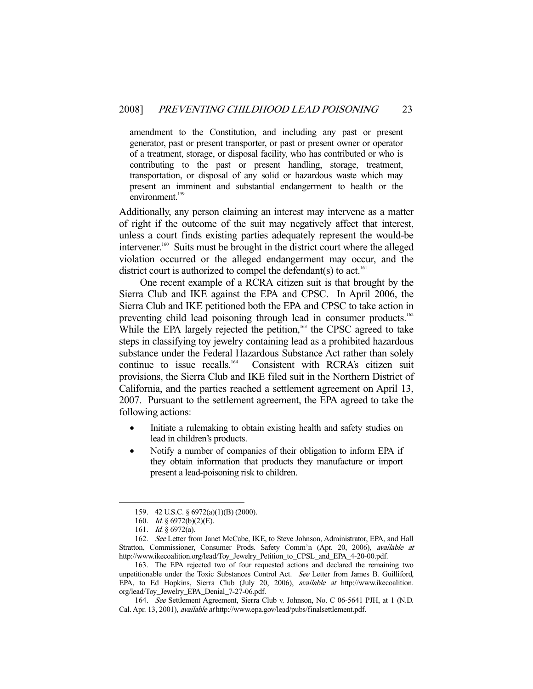amendment to the Constitution, and including any past or present generator, past or present transporter, or past or present owner or operator of a treatment, storage, or disposal facility, who has contributed or who is contributing to the past or present handling, storage, treatment, transportation, or disposal of any solid or hazardous waste which may present an imminent and substantial endangerment to health or the environment.<sup>159</sup>

Additionally, any person claiming an interest may intervene as a matter of right if the outcome of the suit may negatively affect that interest, unless a court finds existing parties adequately represent the would-be intervener.160 Suits must be brought in the district court where the alleged violation occurred or the alleged endangerment may occur, and the district court is authorized to compel the defendant(s) to act.<sup>161</sup>

 One recent example of a RCRA citizen suit is that brought by the Sierra Club and IKE against the EPA and CPSC. In April 2006, the Sierra Club and IKE petitioned both the EPA and CPSC to take action in preventing child lead poisoning through lead in consumer products.<sup>162</sup> While the EPA largely rejected the petition,<sup>163</sup> the CPSC agreed to take steps in classifying toy jewelry containing lead as a prohibited hazardous substance under the Federal Hazardous Substance Act rather than solely<br>continue to issue recalls.<sup>164</sup> Consistent with RCRA's citizen suit Consistent with RCRA's citizen suit provisions, the Sierra Club and IKE filed suit in the Northern District of California, and the parties reached a settlement agreement on April 13, 2007. Pursuant to the settlement agreement, the EPA agreed to take the following actions:

- Initiate a rulemaking to obtain existing health and safety studies on lead in children's products.
- Notify a number of companies of their obligation to inform EPA if they obtain information that products they manufacture or import present a lead-poisoning risk to children.

 <sup>159. 42</sup> U.S.C. § 6972(a)(1)(B) (2000).

<sup>160.</sup> *Id.* § 6972(b)(2)(E).

 <sup>161.</sup> Id. § 6972(a).

 <sup>162.</sup> See Letter from Janet McCabe, IKE, to Steve Johnson, Administrator, EPA, and Hall Stratton, Commissioner, Consumer Prods. Safety Comm'n (Apr. 20, 2006), available at http://www.ikecoalition.org/lead/Toy\_Jewelry\_Petition\_to\_CPSL\_and\_EPA\_4-20-00.pdf.

 <sup>163.</sup> The EPA rejected two of four requested actions and declared the remaining two unpetitionable under the Toxic Substances Control Act. See Letter from James B. Guilliford, EPA, to Ed Hopkins, Sierra Club (July 20, 2006), available at http://www.ikecoalition. org/lead/Toy\_Jewelry\_EPA\_Denial\_7-27-06.pdf.

 <sup>164.</sup> See Settlement Agreement, Sierra Club v. Johnson, No. C 06-5641 PJH, at 1 (N.D. Cal. Apr. 13, 2001), available at http://www.epa.gov/lead/pubs/finalsettlement.pdf.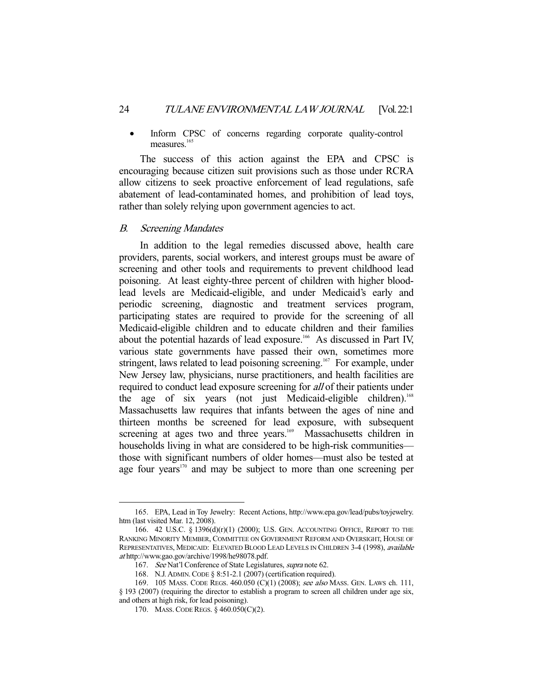Inform CPSC of concerns regarding corporate quality-control measures.<sup>165</sup>

 The success of this action against the EPA and CPSC is encouraging because citizen suit provisions such as those under RCRA allow citizens to seek proactive enforcement of lead regulations, safe abatement of lead-contaminated homes, and prohibition of lead toys, rather than solely relying upon government agencies to act.

#### B. Screening Mandates

 In addition to the legal remedies discussed above, health care providers, parents, social workers, and interest groups must be aware of screening and other tools and requirements to prevent childhood lead poisoning. At least eighty-three percent of children with higher bloodlead levels are Medicaid-eligible, and under Medicaid's early and periodic screening, diagnostic and treatment services program, participating states are required to provide for the screening of all Medicaid-eligible children and to educate children and their families about the potential hazards of lead exposure.<sup>166</sup> As discussed in Part IV, various state governments have passed their own, sometimes more stringent, laws related to lead poisoning screening.<sup>167</sup> For example, under New Jersey law, physicians, nurse practitioners, and health facilities are required to conduct lead exposure screening for all of their patients under the age of six years (not just Medicaid-eligible children).<sup>168</sup> Massachusetts law requires that infants between the ages of nine and thirteen months be screened for lead exposure, with subsequent screening at ages two and three years.<sup>169</sup> Massachusetts children in households living in what are considered to be high-risk communities those with significant numbers of older homes—must also be tested at age four years<sup>170</sup> and may be subject to more than one screening per

 <sup>165.</sup> EPA, Lead in Toy Jewelry: Recent Actions, http://www.epa.gov/lead/pubs/toyjewelry. htm (last visited Mar. 12, 2008).

 <sup>166. 42</sup> U.S.C. § 1396(d)(r)(1) (2000); U.S. GEN. ACCOUNTING OFFICE, REPORT TO THE RANKING MINORITY MEMBER, COMMITTEE ON GOVERNMENT REFORM AND OVERSIGHT, HOUSE OF REPRESENTATIVES, MEDICAID: ELEVATED BLOOD LEAD LEVELS IN CHILDREN 3-4 (1998), available at http://www.gao.gov/archive/1998/he98078.pdf.

<sup>167.</sup> See Nat'l Conference of State Legislatures, supra note 62.

 <sup>168.</sup> N.J. ADMIN.CODE § 8:51-2.1 (2007) (certification required).

 <sup>169. 105</sup> MASS. CODE REGS. 460.050 (C)(1) (2008); see also MASS. GEN. LAWS ch. 111, § 193 (2007) (requiring the director to establish a program to screen all children under age six, and others at high risk, for lead poisoning).

 <sup>170.</sup> MASS.CODE REGS. § 460.050(C)(2).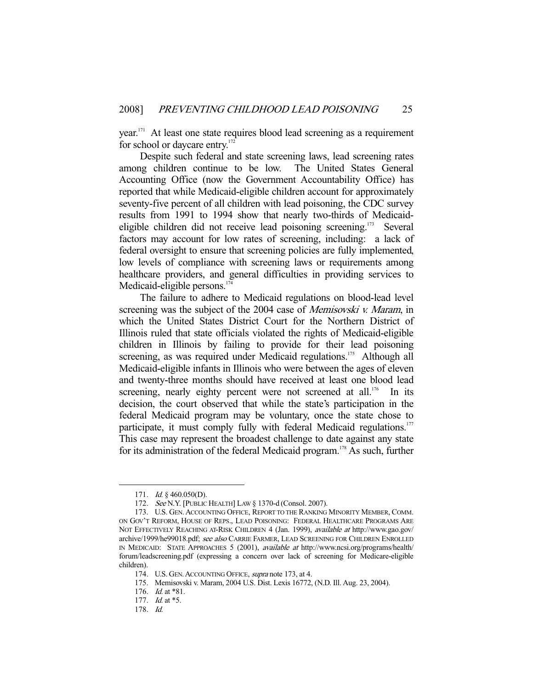year.<sup>171</sup> At least one state requires blood lead screening as a requirement for school or daycare entry.<sup>17</sup>

 Despite such federal and state screening laws, lead screening rates among children continue to be low. The United States General Accounting Office (now the Government Accountability Office) has reported that while Medicaid-eligible children account for approximately seventy-five percent of all children with lead poisoning, the CDC survey results from 1991 to 1994 show that nearly two-thirds of Medicaideligible children did not receive lead poisoning screening.173 Several factors may account for low rates of screening, including: a lack of federal oversight to ensure that screening policies are fully implemented, low levels of compliance with screening laws or requirements among healthcare providers, and general difficulties in providing services to Medicaid-eligible persons.<sup>174</sup>

 The failure to adhere to Medicaid regulations on blood-lead level screening was the subject of the 2004 case of *Memisovski v. Maram*, in which the United States District Court for the Northern District of Illinois ruled that state officials violated the rights of Medicaid-eligible children in Illinois by failing to provide for their lead poisoning screening, as was required under Medicaid regulations.<sup>175</sup> Although all Medicaid-eligible infants in Illinois who were between the ages of eleven and twenty-three months should have received at least one blood lead screening, nearly eighty percent were not screened at all.<sup>176</sup> In its decision, the court observed that while the state's participation in the federal Medicaid program may be voluntary, once the state chose to participate, it must comply fully with federal Medicaid regulations.<sup>177</sup> This case may represent the broadest challenge to date against any state for its administration of the federal Medicaid program.178 As such, further

<sup>171.</sup> *Id.* § 460.050(D).

 <sup>172.</sup> See N.Y. [PUBLIC HEALTH] LAW § 1370-d (Consol. 2007).

<sup>173.</sup> U.S. GEN. ACCOUNTING OFFICE, REPORT TO THE RANKING MINORITY MEMBER, COMM. ON GOV'T REFORM, HOUSE OF REPS., LEAD POISONING: FEDERAL HEALTHCARE PROGRAMS ARE NOT EFFECTIVELY REACHING AT-RISK CHILDREN 4 (Jan. 1999), available at http://www.gao.gov/ archive/1999/he99018.pdf; see also CARRIE FARMER, LEAD SCREENING FOR CHILDREN ENROLLED IN MEDICAID: STATE APPROACHES 5 (2001), available at http://www.ncsi.org/programs/health/ forum/leadscreening.pdf (expressing a concern over lack of screening for Medicare-eligible children).

<sup>174.</sup> U.S. GEN. ACCOUNTING OFFICE, supra note 173, at 4.

 <sup>175.</sup> Memisovski v. Maram, 2004 U.S. Dist. Lexis 16772, (N.D. Ill. Aug. 23, 2004).

<sup>176.</sup> *Id.* at \*81.

<sup>177.</sup> *Id.* at \*5.

 <sup>178.</sup> Id.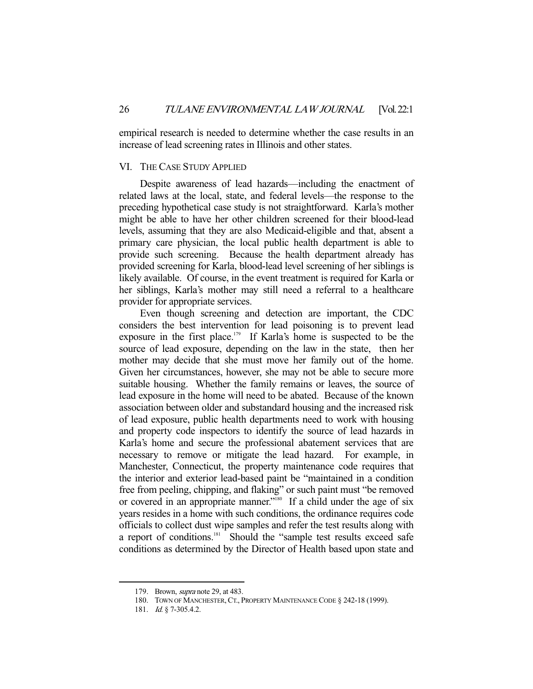empirical research is needed to determine whether the case results in an increase of lead screening rates in Illinois and other states.

#### VI. THE CASE STUDY APPLIED

 Despite awareness of lead hazards—including the enactment of related laws at the local, state, and federal levels—the response to the preceding hypothetical case study is not straightforward. Karla's mother might be able to have her other children screened for their blood-lead levels, assuming that they are also Medicaid-eligible and that, absent a primary care physician, the local public health department is able to provide such screening. Because the health department already has provided screening for Karla, blood-lead level screening of her siblings is likely available. Of course, in the event treatment is required for Karla or her siblings, Karla's mother may still need a referral to a healthcare provider for appropriate services.

 Even though screening and detection are important, the CDC considers the best intervention for lead poisoning is to prevent lead exposure in the first place.<sup>179</sup> If Karla's home is suspected to be the source of lead exposure, depending on the law in the state, then her mother may decide that she must move her family out of the home. Given her circumstances, however, she may not be able to secure more suitable housing. Whether the family remains or leaves, the source of lead exposure in the home will need to be abated. Because of the known association between older and substandard housing and the increased risk of lead exposure, public health departments need to work with housing and property code inspectors to identify the source of lead hazards in Karla's home and secure the professional abatement services that are necessary to remove or mitigate the lead hazard. For example, in Manchester, Connecticut, the property maintenance code requires that the interior and exterior lead-based paint be "maintained in a condition free from peeling, chipping, and flaking" or such paint must "be removed or covered in an appropriate manner."<sup>180</sup> If a child under the age of six years resides in a home with such conditions, the ordinance requires code officials to collect dust wipe samples and refer the test results along with a report of conditions.<sup>181</sup> Should the "sample test results exceed safe conditions as determined by the Director of Health based upon state and

<sup>179.</sup> Brown, *supra* note 29, at 483.

<sup>180.</sup> TOWN OF MANCHESTER, CT., PROPERTY MAINTENANCE CODE § 242-18 (1999).

<sup>181.</sup> *Id.* § 7-305.4.2.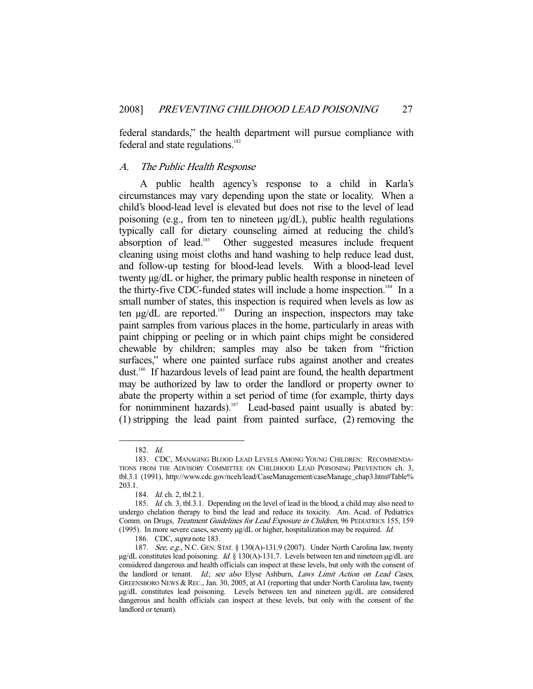federal standards," the health department will pursue compliance with federal and state regulations.<sup>182</sup>

#### A. The Public Health Response

 A public health agency's response to a child in Karla's circumstances may vary depending upon the state or locality. When a child's blood-lead level is elevated but does not rise to the level of lead poisoning (e.g., from ten to nineteen µg/dL), public health regulations typically call for dietary counseling aimed at reducing the child's absorption of lead.183 Other suggested measures include frequent cleaning using moist cloths and hand washing to help reduce lead dust, and follow-up testing for blood-lead levels. With a blood-lead level twenty µg/dL or higher, the primary public health response in nineteen of the thirty-five CDC-funded states will include a home inspection.<sup>184</sup> In a small number of states, this inspection is required when levels as low as ten  $\mu$ g/dL are reported.<sup>185</sup> During an inspection, inspectors may take paint samples from various places in the home, particularly in areas with paint chipping or peeling or in which paint chips might be considered chewable by children; samples may also be taken from "friction surfaces," where one painted surface rubs against another and creates dust.186 If hazardous levels of lead paint are found, the health department may be authorized by law to order the landlord or property owner to abate the property within a set period of time (for example, thirty days for nonimminent hazards).<sup>187</sup> Lead-based paint usually is abated by: (1) stripping the lead paint from painted surface, (2) removing the

 <sup>182.</sup> Id.

 <sup>183.</sup> CDC, MANAGING BLOOD LEAD LEVELS AMONG YOUNG CHILDREN: RECOMMENDA-TIONS FROM THE ADVISORY COMMITTEE ON CHILDHOOD LEAD POISONING PREVENTION ch. 3, tbl.3.1 (1991), http://www.cdc.gov/nceh/lead/CaseManagement/caseManage\_chap3.htm#Table% 203.1.

<sup>184.</sup> *Id.* ch. 2, tbl. 2.1.

<sup>185.</sup> *Id.* ch. 3, tbl.3.1. Depending on the level of lead in the blood, a child may also need to undergo chelation therapy to bind the lead and reduce its toxicity. Am. Acad. of Pediatrics Comm. on Drugs, Treatment Guidelines for Lead Exposure in Children, 96 PEDIATRICS 155, 159 (1995). In more severe cases, seventy µg/dL or higher, hospitalization may be required. Id.

 <sup>186.</sup> CDC, supra note 183.

<sup>187.</sup> See, e.g., N.C. GEN. STAT. § 130(A)-131.9 (2007). Under North Carolina law, twenty  $\mu$ g/dL constitutes lead poisoning. *Id.* § 130(A)-131.7. Levels between ten and nineteen  $\mu$ g/dL are considered dangerous and health officials can inspect at these levels, but only with the consent of the landlord or tenant. Id.; see also Elyse Ashburn, Laws Limit Action on Lead Cases, GREENSBORO NEWS & REC., Jan. 30, 2005, at A1 (reporting that under North Carolina law, twenty µg/dL constitutes lead poisoning. Levels between ten and nineteen µg/dL are considered dangerous and health officials can inspect at these levels, but only with the consent of the landlord or tenant).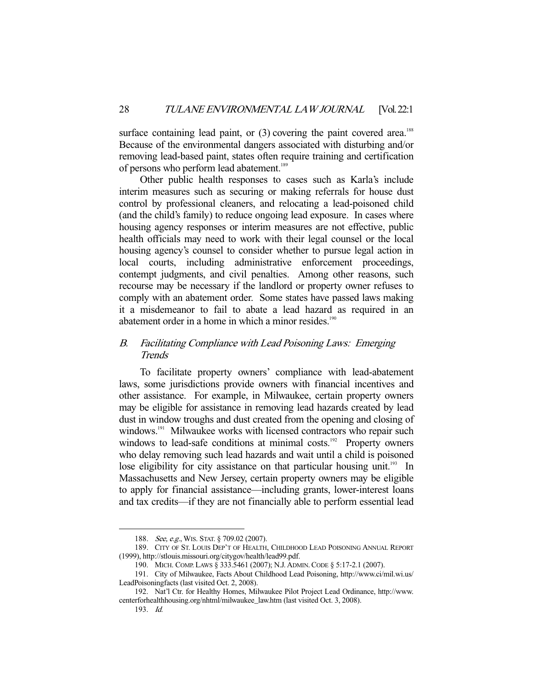surface containing lead paint, or  $(3)$  covering the paint covered area.<sup>188</sup> Because of the environmental dangers associated with disturbing and/or removing lead-based paint, states often require training and certification of persons who perform lead abatement.<sup>189</sup>

 Other public health responses to cases such as Karla's include interim measures such as securing or making referrals for house dust control by professional cleaners, and relocating a lead-poisoned child (and the child's family) to reduce ongoing lead exposure. In cases where housing agency responses or interim measures are not effective, public health officials may need to work with their legal counsel or the local housing agency's counsel to consider whether to pursue legal action in local courts, including administrative enforcement proceedings, contempt judgments, and civil penalties. Among other reasons, such recourse may be necessary if the landlord or property owner refuses to comply with an abatement order. Some states have passed laws making it a misdemeanor to fail to abate a lead hazard as required in an abatement order in a home in which a minor resides.<sup>190</sup>

#### B. Facilitating Compliance with Lead Poisoning Laws: Emerging **Trends**

 To facilitate property owners' compliance with lead-abatement laws, some jurisdictions provide owners with financial incentives and other assistance. For example, in Milwaukee, certain property owners may be eligible for assistance in removing lead hazards created by lead dust in window troughs and dust created from the opening and closing of windows.<sup>191</sup> Milwaukee works with licensed contractors who repair such windows to lead-safe conditions at minimal costs.<sup>192</sup> Property owners who delay removing such lead hazards and wait until a child is poisoned lose eligibility for city assistance on that particular housing unit.<sup>193</sup> In Massachusetts and New Jersey, certain property owners may be eligible to apply for financial assistance—including grants, lower-interest loans and tax credits—if they are not financially able to perform essential lead

<sup>188.</sup> See, e.g., WIS. STAT. § 709.02 (2007).

 <sup>189.</sup> CITY OF ST. LOUIS DEP'T OF HEALTH, CHILDHOOD LEAD POISONING ANNUAL REPORT (1999), http://stlouis.missouri.org/citygov/health/lead99.pdf.

 <sup>190.</sup> MICH. COMP. LAWS § 333.5461 (2007); N.J. ADMIN.CODE § 5:17-2.1 (2007).

 <sup>191.</sup> City of Milwaukee, Facts About Childhood Lead Poisoning, http://www.ci/mil.wi.us/ LeadPoisoningfacts (last visited Oct. 2, 2008).

 <sup>192.</sup> Nat'l Ctr. for Healthy Homes, Milwaukee Pilot Project Lead Ordinance, http://www. centerforhealthhousing.org/nhtml/milwaukee\_law.htm (last visited Oct. 3, 2008).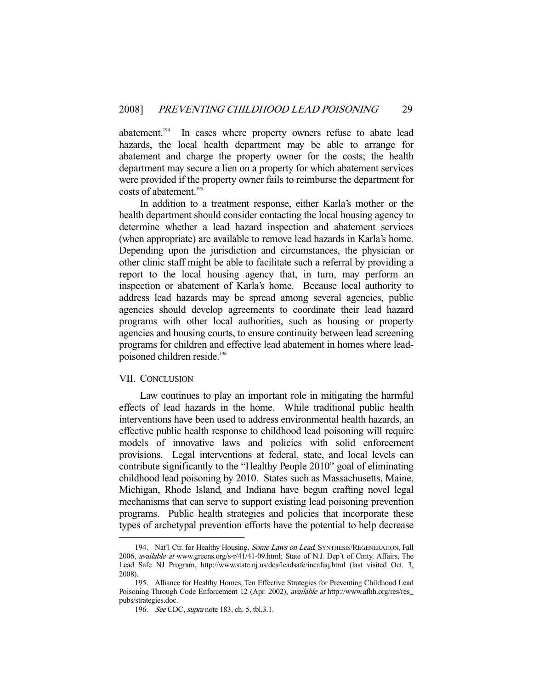abatement.<sup>194</sup> In cases where property owners refuse to abate lead hazards, the local health department may be able to arrange for abatement and charge the property owner for the costs; the health department may secure a lien on a property for which abatement services were provided if the property owner fails to reimburse the department for costs of abatement.<sup>195</sup>

 In addition to a treatment response, either Karla's mother or the health department should consider contacting the local housing agency to determine whether a lead hazard inspection and abatement services (when appropriate) are available to remove lead hazards in Karla's home. Depending upon the jurisdiction and circumstances, the physician or other clinic staff might be able to facilitate such a referral by providing a report to the local housing agency that, in turn, may perform an inspection or abatement of Karla's home. Because local authority to address lead hazards may be spread among several agencies, public agencies should develop agreements to coordinate their lead hazard programs with other local authorities, such as housing or property agencies and housing courts, to ensure continuity between lead screening programs for children and effective lead abatement in homes where leadpoisoned children reside.<sup>196</sup>

#### VII. CONCLUSION

-

 Law continues to play an important role in mitigating the harmful effects of lead hazards in the home. While traditional public health interventions have been used to address environmental health hazards, an effective public health response to childhood lead poisoning will require models of innovative laws and policies with solid enforcement provisions. Legal interventions at federal, state, and local levels can contribute significantly to the "Healthy People 2010" goal of eliminating childhood lead poisoning by 2010. States such as Massachusetts, Maine, Michigan, Rhode Island, and Indiana have begun crafting novel legal mechanisms that can serve to support existing lead poisoning prevention programs. Public health strategies and policies that incorporate these types of archetypal prevention efforts have the potential to help decrease

<sup>194.</sup> Nat'l Ctr. for Healthy Housing, Some Laws on Lead, SYNTHESIS/REGENERATION, Fall 2006, available at www.greens.org/s-r/41/41-09.html; State of N.J. Dep't of Cmty. Affairs, The Lead Safe NJ Program, http://www.state.nj.us/dca/leadsafe/incafaq.html (last visited Oct. 3, 2008).

 <sup>195.</sup> Alliance for Healthy Homes, Ten Effective Strategies for Preventing Childhood Lead Poisoning Through Code Enforcement 12 (Apr. 2002), available at http://www.afhh.org/res/res\_ pubs/strategies.doc.

 <sup>196.</sup> See CDC, supra note 183, ch. 5, tbl.3.1.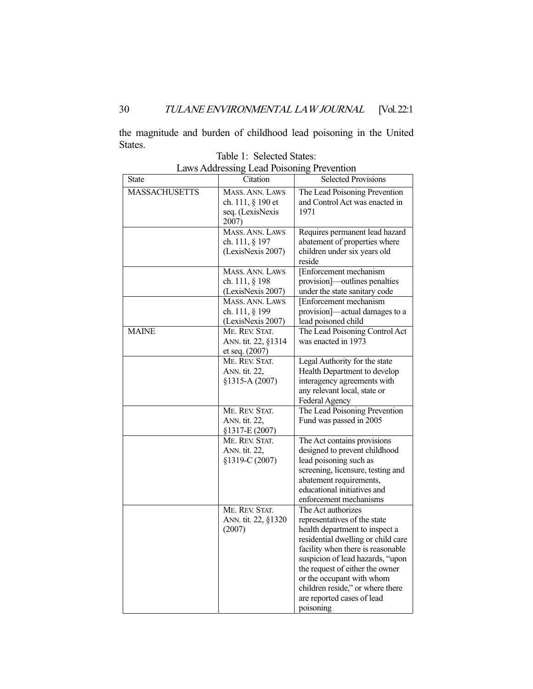the magnitude and burden of childhood lead poisoning in the United States.

| <b>State</b>         | Citation                                                                  | <b>Selected Provisions</b>                                                                                                                                                                                                                                                                                                                         |
|----------------------|---------------------------------------------------------------------------|----------------------------------------------------------------------------------------------------------------------------------------------------------------------------------------------------------------------------------------------------------------------------------------------------------------------------------------------------|
| <b>MASSACHUSETTS</b> | MASS. ANN. LAWS<br>ch. 111, § 190 et<br>seq. (LexisNexis<br>2007)         | The Lead Poisoning Prevention<br>and Control Act was enacted in<br>1971                                                                                                                                                                                                                                                                            |
|                      | MASS. ANN. LAWS<br>ch. 111, § 197<br>(LexisNexis 2007)                    | Requires permanent lead hazard<br>abatement of properties where<br>children under six years old<br>reside                                                                                                                                                                                                                                          |
|                      | MASS. ANN. LAWS<br>ch. 111, § 198<br>(LexisNexis 2007)<br>MASS. ANN. LAWS | [Enforcement mechanism<br>provision]-outlines penalties<br>under the state sanitary code<br>[Enforcement mechanism                                                                                                                                                                                                                                 |
|                      | ch. 111, § 199<br>(LexisNexis 2007)                                       | provision]—actual damages to a<br>lead poisoned child                                                                                                                                                                                                                                                                                              |
| <b>MAINE</b>         | ME. REV. STAT.<br>ANN. tit. 22, §1314<br>et seq. (2007)                   | The Lead Poisoning Control Act<br>was enacted in 1973                                                                                                                                                                                                                                                                                              |
|                      | ME. REV. STAT.<br>ANN. tit. 22,<br>§1315-A (2007)                         | Legal Authority for the state<br>Health Department to develop<br>interagency agreements with<br>any relevant local, state or<br>Federal Agency                                                                                                                                                                                                     |
|                      | ME. REV. STAT.<br>ANN. tit. 22,<br>§1317-E (2007)                         | The Lead Poisoning Prevention<br>Fund was passed in 2005                                                                                                                                                                                                                                                                                           |
|                      | ME. REV. STAT.<br>ANN. tit. 22,<br>§1319-C (2007)                         | The Act contains provisions<br>designed to prevent childhood<br>lead poisoning such as<br>screening, licensure, testing and<br>abatement requirements,<br>educational initiatives and<br>enforcement mechanisms                                                                                                                                    |
|                      | ME. REV. STAT.<br>ANN. tit. 22, §1320<br>(2007)                           | The Act authorizes<br>representatives of the state<br>health department to inspect a<br>residential dwelling or child care<br>facility when there is reasonable<br>suspicion of lead hazards, "upon<br>the request of either the owner<br>or the occupant with whom<br>children reside," or where there<br>are reported cases of lead<br>poisoning |

Table 1: Selected States: Laws Addressing Lead Poisoning Prevention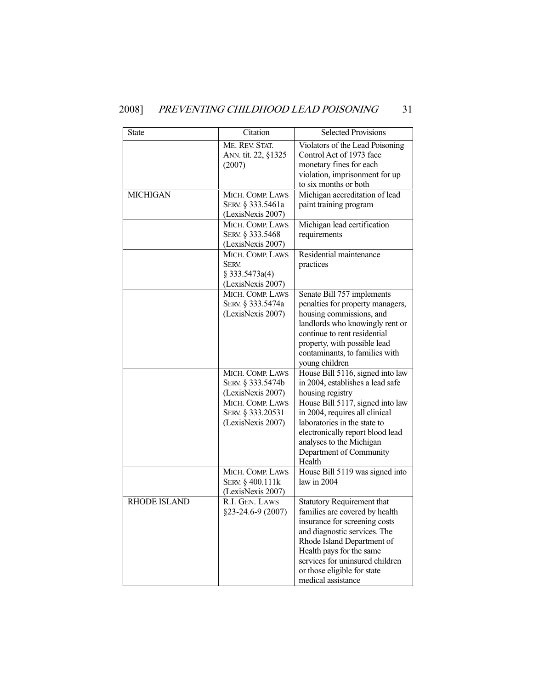## 2008] PREVENTING CHILDHOOD LEAD POISONING 31

| <b>State</b>        | Citation                                                                | Selected Provisions                                                                                                                                                                                                                                                                    |
|---------------------|-------------------------------------------------------------------------|----------------------------------------------------------------------------------------------------------------------------------------------------------------------------------------------------------------------------------------------------------------------------------------|
|                     | ME. REV. STAT.<br>ANN. tit. 22, §1325<br>(2007)                         | Violators of the Lead Poisoning<br>Control Act of 1973 face<br>monetary fines for each<br>violation, imprisonment for up<br>to six months or both                                                                                                                                      |
| <b>MICHIGAN</b>     | MICH. COMP. LAWS<br>SERV. § 333.5461a<br>(LexisNexis 2007)              | Michigan accreditation of lead<br>paint training program                                                                                                                                                                                                                               |
|                     | MICH. COMP. LAWS<br>SERV. § 333.5468<br>(LexisNexis 2007)               | Michigan lead certification<br>requirements                                                                                                                                                                                                                                            |
|                     | MICH. COMP. LAWS<br><b>SERV.</b><br>§ 333.5473a(4)<br>(LexisNexis 2007) | Residential maintenance<br>practices                                                                                                                                                                                                                                                   |
|                     | MICH. COMP. LAWS<br>SERV. § 333.5474a<br>(LexisNexis 2007)              | Senate Bill 757 implements<br>penalties for property managers,<br>housing commissions, and<br>landlords who knowingly rent or<br>continue to rent residential<br>property, with possible lead<br>contaminants, to families with<br>young children                                      |
|                     | MICH. COMP. LAWS<br>SERV. § 333.5474b<br>(LexisNexis 2007)              | House Bill 5116, signed into law<br>in 2004, establishes a lead safe<br>housing registry                                                                                                                                                                                               |
|                     | MICH. COMP. LAWS<br>SERV. § 333.20531<br>(LexisNexis 2007)              | House Bill 5117, signed into law<br>in 2004, requires all clinical<br>laboratories in the state to<br>electronically report blood lead<br>analyses to the Michigan<br>Department of Community<br>Health                                                                                |
|                     | MICH. COMP. LAWS<br>SERV. § 400.111k<br>(LexisNexis 2007)               | House Bill 5119 was signed into<br>law in 2004                                                                                                                                                                                                                                         |
| <b>RHODE ISLAND</b> | R.I. GEN. LAWS<br>§23-24.6-9 (2007)                                     | <b>Statutory Requirement that</b><br>families are covered by health<br>insurance for screening costs<br>and diagnostic services. The<br>Rhode Island Department of<br>Health pays for the same<br>services for uninsured children<br>or those eligible for state<br>medical assistance |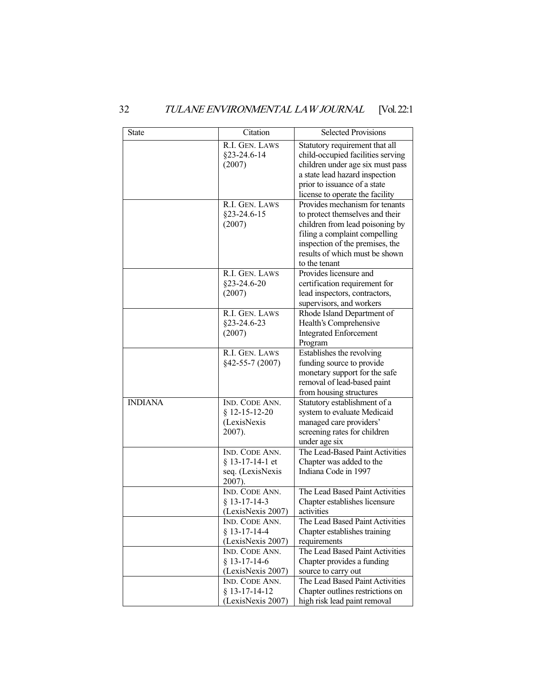| <b>State</b>   | Citation                                                          | <b>Selected Provisions</b>                                                                                                                                                                                                  |
|----------------|-------------------------------------------------------------------|-----------------------------------------------------------------------------------------------------------------------------------------------------------------------------------------------------------------------------|
|                | R.I. GEN. LAWS<br>§23-24.6-14<br>(2007)                           | Statutory requirement that all<br>child-occupied facilities serving<br>children under age six must pass<br>a state lead hazard inspection<br>prior to issuance of a state<br>license to operate the facility                |
|                | R.I. GEN. LAWS<br>\$23-24.6-15<br>(2007)                          | Provides mechanism for tenants<br>to protect themselves and their<br>children from lead poisoning by<br>filing a complaint compelling<br>inspection of the premises, the<br>results of which must be shown<br>to the tenant |
|                | R.I. GEN. LAWS<br>§23-24.6-20<br>(2007)                           | Provides licensure and<br>certification requirement for<br>lead inspectors, contractors,<br>supervisors, and workers                                                                                                        |
|                | R.I. GEN. LAWS<br>§23-24.6-23<br>(2007)                           | Rhode Island Department of<br>Health's Comprehensive<br><b>Integrated Enforcement</b><br>Program                                                                                                                            |
|                | R.I. GEN. LAWS<br>§42-55-7 (2007)                                 | Establishes the revolving<br>funding source to provide<br>monetary support for the safe<br>removal of lead-based paint<br>from housing structures                                                                           |
| <b>INDIANA</b> | IND. CODE ANN.<br>$$12-15-12-20$<br>(LexisNexis<br>2007).         | Statutory establishment of a<br>system to evaluate Medicaid<br>managed care providers'<br>screening rates for children<br>under age six                                                                                     |
|                | IND. CODE ANN.<br>$§$ 13-17-14-1 et<br>seq. (LexisNexis<br>2007). | The Lead-Based Paint Activities<br>Chapter was added to the<br>Indiana Code in 1997                                                                                                                                         |
|                | IND. CODE ANN.<br>$§$ 13-17-14-3<br>(LexisNexis 2007)             | The Lead Based Paint Activities<br>Chapter establishes licensure<br>activities                                                                                                                                              |
|                | IND. CODE ANN.<br>$§$ 13-17-14-4<br>(LexisNexis 2007)             | The Lead Based Paint Activities<br>Chapter establishes training<br>requirements                                                                                                                                             |
|                | IND. CODE ANN.<br>$§$ 13-17-14-6<br>(LexisNexis 2007)             | The Lead Based Paint Activities<br>Chapter provides a funding<br>source to carry out                                                                                                                                        |
|                | IND. CODE ANN.<br>$§$ 13-17-14-12<br>(LexisNexis 2007)            | The Lead Based Paint Activities<br>Chapter outlines restrictions on<br>high risk lead paint removal                                                                                                                         |